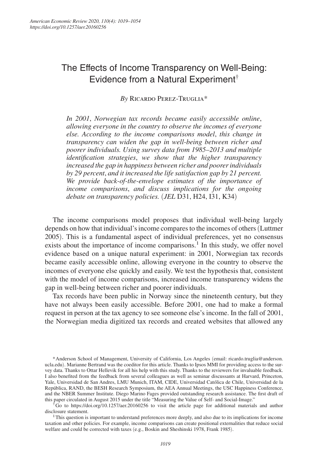# The Effects of Income Transparency on Well-Being: Evidence from a Natural Experiment<sup>†</sup>

*By* Ricardo Perez-Truglia\*

*In 2001*, *Norwegian tax records became easily accessible online*, *allowing everyone in the country to observe the incomes of everyone else. According to the income comparisons model*, *this change in transparency can widen the gap in well-being between richer and poorer individuals. Using survey data from 1985–2013 and multiple identification strategies*, *we show that the higher transparency increased the gap in happiness between richer and poorer individuals by 29 percent*, *and it increased the life satisfaction gap by 21 percent. We provide back-of-the-envelope estimates of the importance of income comparisons*, *and discuss implications for the ongoing debate on transparency policies.* (*JEL* D31, H24, I31, K34)

The income comparisons model proposes that individual well-being largely depends on how that individual's income compares to the incomes of others (Luttmer 2005). This is a fundamental aspect of individual preferences, yet no consensus exists about the importance of income comparisons.<sup>1</sup> In this study, we offer novel evidence based on a unique natural experiment: in 2001, Norwegian tax records became easily accessible online, allowing everyone in the country to observe the incomes of everyone else quickly and easily. We test the hypothesis that, consistent with the model of income comparisons, increased income transparency widens the gap in well-being between richer and poorer individuals.

Tax records have been public in Norway since the nineteenth century, but they have not always been easily accessible. Before 2001, one had to make a formal request in person at the tax agency to see someone else's income. In the fall of 2001, the Norwegian media digitized tax records and created websites that allowed any

† Go to https://doi.org/10.1257/aer.20160256 to visit the article page for additional materials and author disclosure statement.

<sup>\*</sup> Anderson School of Management, University of California, Los Angeles (email: ricardo.truglia@anderson. ucla.edu). Marianne Bertrand was the coeditor for this article. Thanks to Ipsos MMI for providing access to the survey data. Thanks to Ottar Hellevik for all his help with this study. Thanks to the reviewers for invaluable feedback. I also benefited from the feedback from several colleagues as well as seminar discussants at Harvard, Princeton, Yale, Universidad de San Andres, LMU Munich, ITAM, CIDE, Universidad Católica de Chile, Universidad de la República, RAND, the BESH Research Symposium, the AEA Annual Meetings, the USC Happiness Conference, and the NBER Summer Institute. Diego Marino Fages provided outstanding research assistance. The first draft of this paper circulated in August 2015 under the title "Measuring the Value of Self- and Social-Image."

<sup>&</sup>lt;sup>1</sup>This question is important to understand preferences more deeply, and also due to its implications for income taxation and other policies. For example, income comparisons can create positional externalities that reduce social welfare and could be corrected with taxes (e.g., Boskin and Sheshinski 1978, Frank 1985).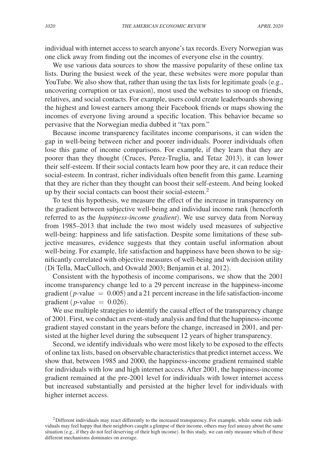individual with internet access to search anyone's tax records. Every Norwegian was one click away from finding out the incomes of everyone else in the country.

We use various data sources to show the massive popularity of these online tax lists. During the busiest week of the year, these websites were more popular than YouTube. We also show that, rather than using the tax lists for legitimate goals (e.g., uncovering corruption or tax evasion), most used the websites to snoop on friends, relatives, and social contacts. For example, users could create leaderboards showing the highest and lowest earners among their Facebook friends or maps showing the incomes of everyone living around a specific location. This behavior became so pervasive that the Norwegian media dubbed it "tax porn."

Because income transparency facilitates income comparisons, it can widen the gap in well-being between richer and poorer individuals. Poorer individuals often lose this game of income comparisons. For example, if they learn that they are poorer than they thought (Cruces, Perez-Truglia, and Tetaz 2013), it can lower their self-esteem. If their social contacts learn how poor they are, it can reduce their social-esteem. In contrast, richer individuals often benefit from this game. Learning that they are richer than they thought can boost their self-esteem. And being looked up by their social contacts can boost their social-esteem.<sup>2</sup>

To test this hypothesis, we measure the effect of the increase in transparency on the gradient between subjective well-being and individual income rank (henceforth referred to as the *happiness-income gradient*). We use survey data from Norway from 1985–2013 that include the two most widely used measures of subjective well-being: happiness and life satisfaction. Despite some limitations of these subjective measures, evidence suggests that they contain useful information about well-being. For example, life satisfaction and happiness have been shown to be significantly correlated with objective measures of well-being and with decision utility (Di Tella, MacCulloch, and Oswald 2003; Benjamin et al. 2012).

Consistent with the hypothesis of income comparisons, we show that the 2001 income transparency change led to a 29 percent increase in the happiness-income gradient ( $p$ -value  $= 0.005$ ) and a 21 percent increase in the life satisfaction-income gradient ( $p$ -value = 0.026).

We use multiple strategies to identify the causal effect of the transparency change of 2001. First, we conduct an event-study analysis and find that the happiness-income gradient stayed constant in the years before the change, increased in 2001, and persisted at the higher level during the subsequent 12 years of higher transparency.

Second, we identify individuals who were most likely to be exposed to the effects of online tax lists, based on observable characteristics that predict internet access. We show that, between 1985 and 2000, the happiness-income gradient remained stable for individuals with low and high internet access. After 2001, the happiness-income gradient remained at the pre-2001 level for individuals with lower internet access but increased substantially and persisted at the higher level for individuals with higher internet access.

<sup>2</sup>Different individuals may react differently to the increased transparency. For example, while some rich individuals may feel happy that their neighbors caught a glimpse of their income, others may feel uneasy about the same situation (e.g., if they do not feel deserving of their high income). In this study, we can only measure which of these different mechanisms dominates on average.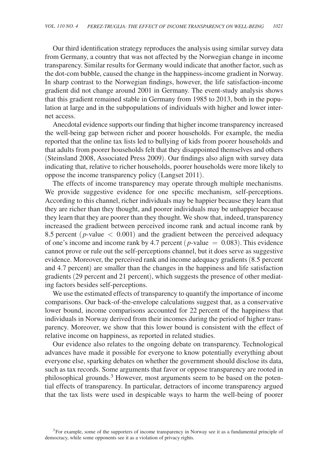Our third identification strategy reproduces the analysis using similar survey data from Germany, a country that was not affected by the Norwegian change in income transparency. Similar results for Germany would indicate that another factor, such as the dot-com bubble, caused the change in the happiness-income gradient in Norway. In sharp contrast to the Norwegian findings, however, the life satisfaction-income gradient did not change around 2001 in Germany. The event-study analysis shows that this gradient remained stable in Germany from 1985 to 2013, both in the population at large and in the subpopulations of individuals with higher and lower internet access.

Anecdotal evidence supports our finding that higher income transparency increased the well-being gap between richer and poorer households. For example, the media reported that the online tax lists led to bullying of kids from poorer households and that adults from poorer households felt that they disappointed themselves and others (Steinsland 2008, Associated Press 2009). Our findings also align with survey data indicating that, relative to richer households, poorer households were more likely to oppose the income transparency policy (Langset 2011).

The effects of income transparency may operate through multiple mechanisms. We provide suggestive evidence for one specific mechanism, self-perceptions. According to this channel, richer individuals may be happier because they learn that they are richer than they thought, and poorer individuals may be unhappier because they learn that they are poorer than they thought. We show that, indeed, transparency increased the gradient between perceived income rank and actual income rank by 8.5 percent ( $p$ -value  $\langle 0.001 \rangle$  and the gradient between the perceived adequacy of one's income and income rank by 4.7 percent ( $p$ -value = 0.083). This evidence cannot prove or rule out the self-perceptions channel, but it does serve as suggestive evidence. Moreover, the perceived rank and income adequacy gradients (8.5 percent and 4.7 percent) are smaller than the changes in the happiness and life satisfaction gradients (29 percent and 21 percent), which suggests the presence of other mediating factors besides self-perceptions.

We use the estimated effects of transparency to quantify the importance of income comparisons. Our back-of-the-envelope calculations suggest that, as a conservative lower bound, income comparisons accounted for 22 percent of the happiness that individuals in Norway derived from their incomes during the period of higher transparency. Moreover, we show that this lower bound is consistent with the effect of relative income on happiness, as reported in related studies.

Our evidence also relates to the ongoing debate on transparency. Technological advances have made it possible for everyone to know potentially everything about everyone else, sparking debates on whether the government should disclose its data, such as tax records. Some arguments that favor or oppose transparency are rooted in philosophical grounds.<sup>3</sup> However, most arguments seem to be based on the potential effects of transparency. In particular, detractors of income transparency argued that the tax lists were used in despicable ways to harm the well-being of poorer

<sup>&</sup>lt;sup>3</sup>For example, some of the supporters of income transparency in Norway see it as a fundamental principle of democracy, while some opponents see it as a violation of privacy rights.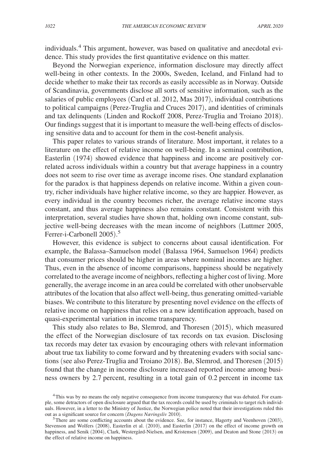individuals.<sup>4</sup> This argument, however, was based on qualitative and anecdotal evidence. This study provides the first quantitative evidence on this matter.

Beyond the Norwegian experience, information disclosure may directly affect well-being in other contexts. In the 2000s, Sweden, Iceland, and Finland had to decide whether to make their tax records as easily accessible as in Norway. Outside of Scandinavia, governments disclose all sorts of sensitive information, such as the salaries of public employees (Card et al. 2012, Mas 2017), individual contributions to political campaigns ( Perez-Truglia and Cruces 2017), and identities of criminals and tax delinquents (Linden and Rockoff 2008, Perez-Truglia and Troiano 2018). Our findings suggest that it is important to measure the well-being effects of disclosing sensitive data and to account for them in the cost-benefit analysis.

This paper relates to various strands of literature. Most important, it relates to a literature on the effect of relative income on well-being. In a seminal contribution, Easterlin (1974) showed evidence that happiness and income are positively correlated across individuals within a country but that average happiness in a country does not seem to rise over time as average income rises. One standard explanation for the paradox is that happiness depends on relative income. Within a given country, richer individuals have higher relative income, so they are happier. However, as every individual in the country becomes richer, the average relative income stays constant, and thus average happiness also remains constant. Consistent with this interpretation, several studies have shown that, holding own income constant, subjective well-being decreases with the mean income of neighbors (Luttmer 2005, Ferrer-i-Carbonell 2005).<sup>5</sup>

However, this evidence is subject to concerns about causal identification. For example, the Balassa–Samuelson model (Balassa 1964, Samuelson 1964) predicts that consumer prices should be higher in areas where nominal incomes are higher. Thus, even in the absence of income comparisons, happiness should be negatively correlated to the average income of neighbors, reflecting a higher cost of living. More generally, the average income in an area could be correlated with other unobservable attributes of the location that also affect well-being, thus generating omitted-variable biases. We contribute to this literature by presenting novel evidence on the effects of relative income on happiness that relies on a new identification approach, based on quasi-experimental variation in income transparency.

This study also relates to Bø, Slemrod, and Thoresen (2015), which measured the effect of the Norwegian disclosure of tax records on tax evasion. Disclosing tax records may deter tax evasion by encouraging others with relevant information about true tax liability to come forward and by threatening evaders with social sanctions (see also Perez-Truglia and Troiano 2018). Bø, Slemrod, and Thoresen (2015) found that the change in income disclosure increased reported income among business owners by 2.7 percent, resulting in a total gain of 0.2 percent in income tax

<sup>4</sup>This was by no means the only negative consequence from income transparency that was debated. For example, some detractors of open disclosure argued that the tax records could be used by criminals to target rich individuals. However, in a letter to the Ministry of Justice, the Norwegian police noted that their investigations ruled this out as a significant source for concern (*Dagens Næringsliv* 2010).

<sup>&</sup>lt;sup>5</sup>There are some conflicting accounts about the evidence. See, for instance, Hagerty and Veenhoven (2003), Stevenson and Wolfers (2008), Easterlin et al. (2010), and Easterlin (2017) on the effect of income growth on happiness, and Senik (2004), Clark, Westergård-Nielsen, and Kristensen (2009), and Deaton and Stone (2013) on the effect of relative income on happiness.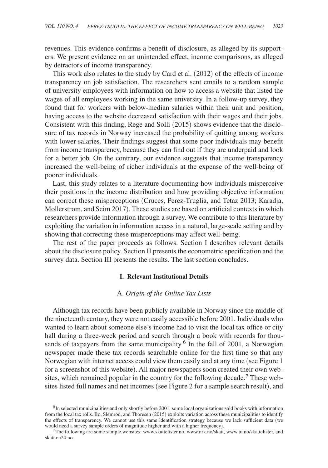revenues. This evidence confirms a benefit of disclosure, as alleged by its supporters. We present evidence on an unintended effect, income comparisons, as alleged by detractors of income transparency.

This work also relates to the study by Card et al. (2012) of the effects of income transparency on job satisfaction. The researchers sent emails to a random sample of university employees with information on how to access a website that listed the wages of all employees working in the same university. In a follow-up survey, they found that for workers with below-median salaries within their unit and position, having access to the website decreased satisfaction with their wages and their jobs. Consistent with this finding, Rege and Solli (2015) shows evidence that the disclosure of tax records in Norway increased the probability of quitting among workers with lower salaries. Their findings suggest that some poor individuals may benefit from income transparency, because they can find out if they are underpaid and look for a better job. On the contrary, our evidence suggests that income transparency increased the well-being of richer individuals at the expense of the well-being of poorer individuals.

Last, this study relates to a literature documenting how individuals misperceive their positions in the income distribution and how providing objective information can correct these misperceptions (Cruces, Perez-Truglia, and Tetaz 2013; Karadja, Mollerstrom, and Seim 2017). These studies are based on artificial contexts in which researchers provide information through a survey. We contribute to this literature by exploiting the variation in information access in a natural, large-scale setting and by showing that correcting these misperceptions may affect well-being.

The rest of the paper proceeds as follows. Section I describes relevant details about the disclosure policy. Section II presents the econometric specification and the survey data. Section III presents the results. The last section concludes.

### **I. Relevant Institutional Details**

# A. *Origin of the Online Tax Lists*

Although tax records have been publicly available in Norway since the middle of the nineteenth century, they were not easily accessible before 2001. Individuals who wanted to learn about someone else's income had to visit the local tax office or city hall during a three-week period and search through a book with records for thousands of taxpayers from the same municipality.<sup>6</sup> In the fall of 2001, a Norwegian newspaper made these tax records searchable online for the first time so that any Norwegian with internet access could view them easily and at any time (see Figure 1 for a screenshot of this website). All major newspapers soon created their own websites, which remained popular in the country for the following decade.<sup>7</sup> These websites listed full names and net incomes (see Figure 2 for a sample search result), and

<sup>&</sup>lt;sup>6</sup>In selected municipalities and only shortly before 2001, some local organizations sold books with information from the local tax rolls. Bø, Slemrod, and Thoresen (2015) exploits variation across these municipalities to identify the effects of transparency. We cannot use this same identification strategy because we lack sufficient data (we would need a survey sample orders of magnitude higher and with a higher frequency).

 $7$ The following are some sample websites: www.skattelister.no, www.nrk.no/skatt, www.tu.no/skattelister, and skatt.na24.no.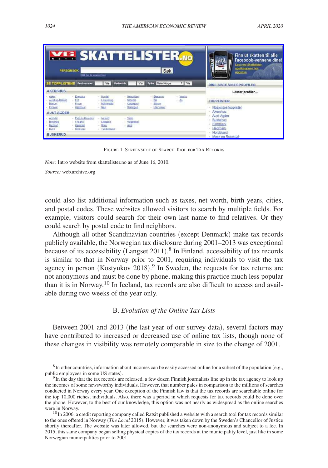| YE SKATTELISTER.no<br>Søk<br><b>PERSONSOK</b><br><b>Kill has be suggested took</b> |                                                       |                                                             |                                                      |                                               |                     | Finn ut skatten til alle<br>Facebook-vennene dine!<br>Lost hed Skattellster-<br>appilkasjonen hot<br>Appston: |
|------------------------------------------------------------------------------------|-------------------------------------------------------|-------------------------------------------------------------|------------------------------------------------------|-----------------------------------------------|---------------------|---------------------------------------------------------------------------------------------------------------|
| SE TOPPLISTENE                                                                     | Postmananer;                                          | Vis                                                         | $-$ Vis<br>Fudschän:                                 | Fyaux Hele Norge                              | $\mathbf{v}$ Vis    | DINE SISTE VISTE PROFILER                                                                                     |
| <b>AKERSHUS</b>                                                                    |                                                       |                                                             |                                                      |                                               |                     | Laster profiler                                                                                               |
| <b>Asset</b><br>Alizakog-Haland<br>Elerum<br>Edivol                                | - Enchass<br>$-$ Fet<br>$-$ Froon<br>- Glentrum       | $ Hardal$<br>Lorenskog<br>Nannestad<br>$-1.5045$            | Nesoulder<br>Nitiedal<br>Oppeatrd<br><b>Railroan</b> | Skedsmo<br><b>Did</b><br>Sonam-<br>Ullensaker | $-$ Yeathy<br>$-4a$ | <b>TOPPLISTER</b><br>Nasionale topplister                                                                     |
| <b>AUST-AGDER</b>                                                                  |                                                       |                                                             |                                                      |                                               |                     | <b>Akershus</b>                                                                                               |
| Arendal<br><b>Birkones</b><br>Britand<br>Buse<br><b>BUSKERUD</b>                   | - Eyjo eg Hemnes<br>Eroland<br>Glenwood<br>- Grimstad | $-2$ regiang.<br>Lilengod<br><b>Blisht</b><br>- Fattomining | <b>Vale</b><br>Vegatshel<br>Amil<br><b>Change</b>    |                                               |                     | Aust-Agder<br>Buskerud<br><b>Einnmark</b><br>Hedmark<br>Hordaland<br>More oo Romsdal                          |

Figure 1. Screenshot of Search Tool for Tax Records

*Note:* Intro website from skattelister.no as of June 16, 2010.

*Source:* web.archive.org

could also list additional information such as taxes, net worth, birth years, cities, and postal codes. These websites allowed visitors to search by multiple fields. For example, visitors could search for their own last name to find relatives. Or they could search by postal code to find neighbors.

Although all other Scandinavian countries (except Denmark) make tax records publicly available, the Norwegian tax disclosure during 2001–2013 was exceptional because of its accessibility (Langset 2011).<sup>8</sup> In Finland, accessibility of tax records is similar to that in Norway prior to 2001, requiring individuals to visit the tax agency in person (Kostyukov 2018). 9 In Sweden, the requests for tax returns are not anonymous and must be done by phone, making this practice much less popular than it is in Norway.<sup>10</sup> In Iceland, tax records are also difficult to access and available during two weeks of the year only.

### B. *Evolution of the Online Tax Lists*

Between 2001 and 2013 (the last year of our survey data), several factors may have contributed to increased or decreased use of online tax lists, though none of these changes in visibility was remotely comparable in size to the change of 2001.

<sup>8</sup>In other countries, information about incomes can be easily accessed online for a subset of the population (e.g., public employees in some US states).

<sup>9</sup>In the day that the tax records are released, a few dozen Finnish journalists line up in the tax agency to look up the incomes of some newsworthy individuals. However, that number pales in comparison to the millions of searches conducted in Norway every year. One exception of the Finnish law is that the tax records are searchable online for the top 10,000 richest individuals. Also, there was a period in which requests for tax records could be done over the phone. However, to the best of our knowledge, this option was not nearly as widespread as the online searches were in Norway.

<sup>&</sup>lt;sup>10</sup>In 2006, a credit reporting company called Ratsit published a website with a search tool for tax records similar to the ones offered in Norway (*The Local* 2015). However, it was taken down by the Sweden's Chancellor of Justice shortly thereafter. The website was later allowed, but the searches were non-anonymous and subject to a fee. In 2015, this same company began selling physical copies of the tax records at the municipality level, just like in some Norwegian municipalities prior to 2001.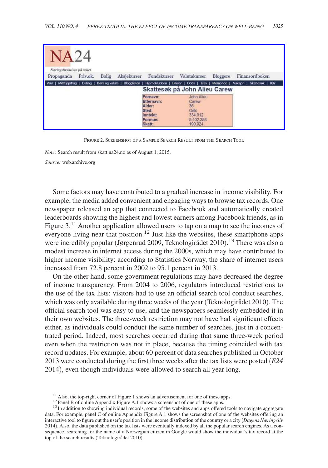| Næringslivsavisen på nettet |          |       |             |                                                                            |                                                                                                                             |          |                 |
|-----------------------------|----------|-------|-------------|----------------------------------------------------------------------------|-----------------------------------------------------------------------------------------------------------------------------|----------|-----------------|
| Propaganda                  | Priv.ok. | Bolig | Aksjekurser | Fondskurser                                                                | Valutakurser                                                                                                                | Bloggere | Finansordboken  |
| Vasr   MittOppdrag          | Dating   |       |             |                                                                            | Bers og valuta   Blogglisten   Hjerneklubben   Bileier   Odds   Trav   Momondo   Auksjon  <br>Skattesøk på John Alieu Carew |          | Skattesøk   007 |
|                             |          |       |             | Fornavn:<br>Etternavn:<br>Alder:<br>Sted:<br>Inntekt:<br>Formue:<br>Skatt: | John Alieu<br>Carew<br>36<br>Oslo<br>334,012<br>5.402.358<br>190.924                                                        |          |                 |

Figure 2. Screenshot of a Sample Search Result from the Search Tool

*Note:* Search result from skatt.na24.no as of August 1, 2015.

*Source:* web.archive.org

Some factors may have contributed to a gradual increase in income visibility. For example, the media added convenient and engaging ways to browse tax records. One newspaper released an app that connected to Facebook and automatically created leaderboards showing the highest and lowest earners among Facebook friends, as in Figure  $3<sup>11</sup>$  Another application allowed users to tap on a map to see the incomes of everyone living near that position.<sup>12</sup> Just like the websites, these smartphone apps were incredibly popular (Jørgenrud 2009, Teknologirådet 2010). <sup>13</sup> There was also a modest increase in internet access during the 2000s, which may have contributed to higher income visibility: according to Statistics Norway, the share of internet users increased from 72.8 percent in 2002 to 95.1 percent in 2013.

On the other hand, some government regulations may have decreased the degree of income transparency. From 2004 to 2006, regulators introduced restrictions to the use of the tax lists: visitors had to use an official search tool conduct searches, which was only available during three weeks of the year (Teknologirådet 2010). The official search tool was easy to use, and the newspapers seamlessly embedded it in their own websites. The three-week restriction may not have had significant effects either, as individuals could conduct the same number of searches, just in a concentrated period. Indeed, most searches occurred during that same three-week period even when the restriction was not in place, because the timing coincided with tax record updates. For example, about 60 percent of data searches published in October 2013 were conducted during the first three weeks after the tax lists were posted (*E24* 2014), even though individuals were allowed to search all year long.

 $11$ Also, the top-right corner of Figure 1 shows an advertisement for one of these apps.

<sup>&</sup>lt;sup>12</sup> Panel B of online Appendix Figure A.1 shows a screenshot of one of these apps.

<sup>&</sup>lt;sup>13</sup>In addition to showing individual records, some of the websites and apps offered tools to navigate aggregate data. For example, panel C of online Appendix Figure A.1 shows the screenshot of one of the websites offering an interactive tool to figure out the user's position in the income distribution of the country or a city (*Dagens Næringsliv* 2014). Also, the data published on the tax lists were eventually indexed by all the popular search engines. As a consequence, searching for the name of a Norwegian citizen in Google would show the individual's tax record at the top of the search results (Teknologirådet 2010).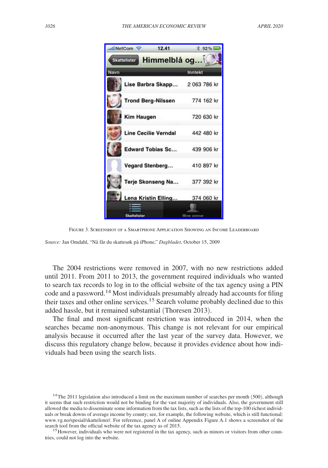

Figure 3. Screenshot of a Smartphone Application Showing an Income Leaderboard

*Source:* Jan Omdahl, "Nå får du skattesøk på iPhone," *Dagbladet*, October 15, 2009

The 2004 restrictions were removed in 2007, with no new restrictions added until 2011. From 2011 to 2013, the government required individuals who wanted to search tax records to log in to the official website of the tax agency using a PIN code and a password.<sup>14</sup> Most individuals presumably already had accounts for filing their taxes and other online services.15 Search volume probably declined due to this added hassle, but it remained substantial (Thoresen 2013).

The final and most significant restriction was introduced in 2014, when the searches became non-anonymous. This change is not relevant for our empirical analysis because it occurred after the last year of the survey data. However, we discuss this regulatory change below, because it provides evidence about how individuals had been using the search lists.

 $14$ The 2011 legislation also introduced a limit on the maximum number of searches per month (500), although it seems that such restriction would not be binding for the vast majority of individuals. Also, the government still allowed the media to disseminate some information from the tax lists, such as the lists of the top-100 richest individuals or break downs of average income by county; see, for example, the following website, which is still functional: www.vg.no/spesial/skattelister/. For reference, panel A of online Appendix Figure A.1 shows a screenshot of the search tool from the official website of the tax agency as of 2015.

<sup>&</sup>lt;sup>15</sup> However, individuals who were not registered in the tax agency, such as minors or visitors from other countries, could not log into the website.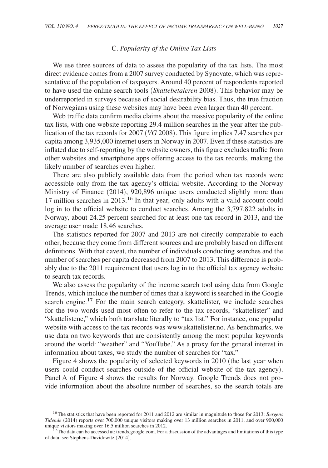## C. *Popularity of the Online Tax Lists*

We use three sources of data to assess the popularity of the tax lists. The most direct evidence comes from a 2007 survey conducted by Synovate, which was representative of the population of taxpayers. Around 40 percent of respondents reported to have used the online search tools (*Skattebetaleren* 2008). This behavior may be underreported in surveys because of social desirability bias. Thus, the true fraction of Norwegians using these websites may have been even larger than 40 percent.

Web traffic data confirm media claims about the massive popularity of the online tax lists, with one website reporting 29.4 million searches in the year after the publication of the tax records for 2007 (*VG* 2008). This figure implies 7.47 searches per capita among 3,935,000 internet users in Norway in 2007. Even if these statistics are inflated due to self-reporting by the website owners, this figure excludes traffic from other websites and smartphone apps offering access to the tax records, making the likely number of searches even higher.

There are also publicly available data from the period when tax records were accessible only from the tax agency's official website. According to the Norway Ministry of Finance (2014), 920,896 unique users conducted slightly more than 17 million searches in 2013.<sup>16</sup> In that year, only adults with a valid account could log in to the official website to conduct searches. Among the 3,797,822 adults in Norway, about 24.25 percent searched for at least one tax record in 2013, and the average user made 18.46 searches.

The statistics reported for 2007 and 2013 are not directly comparable to each other, because they come from different sources and are probably based on different definitions. With that caveat, the number of individuals conducting searches and the number of searches per capita decreased from 2007 to 2013. This difference is probably due to the 2011 requirement that users log in to the official tax agency website to search tax records.

We also assess the popularity of the income search tool using data from Google Trends, which include the number of times that a keyword is searched in the Google search engine.<sup>17</sup> For the main search category, skattelister, we include searches for the two words used most often to refer to the tax records, "skattelister" and "skattelistene," which both translate literally to "tax list." For instance, one popular website with access to the tax records was www.skattelister.no. As benchmarks, we use data on two keywords that are consistently among the most popular keywords around the world: "weather" and "YouTube." As a proxy for the general interest in information about taxes, we study the number of searches for "tax."

Figure 4 shows the popularity of selected keywords in 2010 (the last year when users could conduct searches outside of the official website of the tax agency). Panel A of Figure 4 shows the results for Norway. Google Trends does not provide information about the absolute number of searches, so the search totals are

<sup>16</sup>The statistics that have been reported for 2011 and 2012 are similar in magnitude to those for 2013: *Bergens Tidende* (2014) reports over 700,000 unique visitors making over 13 million searches in 2011, and over 900,000 unique visitors making over 16.5 million searches in 2012.

<sup>&</sup>lt;sup>17</sup>The data can be accessed at: trends.google.com. For a discussion of the advantages and limitations of this type of data, see Stephens-Davidowitz (2014).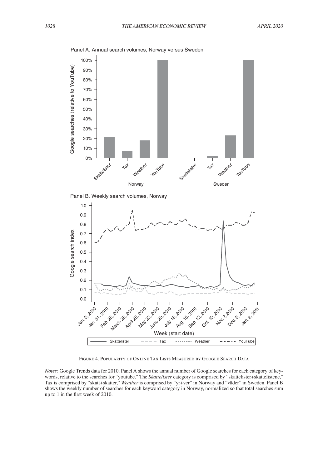

Panel A. Annual search volumes, Norway versus Sweden



Figure 4. Popularity of Online Tax Lists Measured by Google Search Data

*Notes:* Google Trends data for 2010. Panel A shows the annual number of Google searches for each category of keywords, relative to the searches for "youtube." The *Skattelister* category is comprised by "skattelister+skattelistene," Tax is comprised by "skatt+skatter," *Weather* is comprised by "yr+ver" in Norway and "väder" in Sweden. Panel B shows the weekly number of searches for each keyword category in Norway, normalized so that total searches sum up to 1 in the first week of 2010.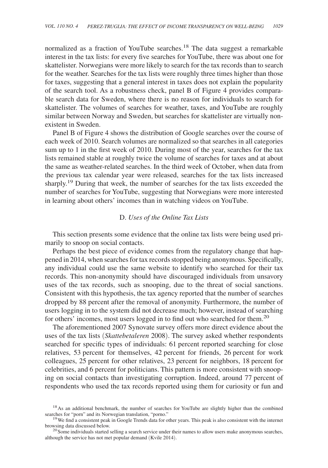normalized as a fraction of YouTube searches.<sup>18</sup> The data suggest a remarkable interest in the tax lists: for every five searches for YouTube, there was about one for skattelister. Norwegians were more likely to search for the tax records than to search for the weather. Searches for the tax lists were roughly three times higher than those for taxes, suggesting that a general interest in taxes does not explain the popularity of the search tool. As a robustness check, panel B of Figure 4 provides comparable search data for Sweden, where there is no reason for individuals to search for skattelister. The volumes of searches for weather, taxes, and YouTube are roughly similar between Norway and Sweden, but searches for skattelister are virtually nonexistent in Sweden.

Panel B of Figure 4 shows the distribution of Google searches over the course of each week of 2010. Search volumes are normalized so that searches in all categories sum up to 1 in the first week of 2010. During most of the year, searches for the tax lists remained stable at roughly twice the volume of searches for taxes and at about the same as weather-related searches. In the third week of October, when data from the previous tax calendar year were released, searches for the tax lists increased sharply.<sup>19</sup> During that week, the number of searches for the tax lists exceeded the number of searches for YouTube, suggesting that Norwegians were more interested in learning about others' incomes than in watching videos on YouTube.

# D. *Uses of the Online Tax Lists*

This section presents some evidence that the online tax lists were being used primarily to snoop on social contacts.

Perhaps the best piece of evidence comes from the regulatory change that happened in 2014, when searches for tax records stopped being anonymous. Specifically, any individual could use the same website to identify who searched for their tax records. This non-anonymity should have discouraged individuals from unsavory uses of the tax records, such as snooping, due to the threat of social sanctions. Consistent with this hypothesis, the tax agency reported that the number of searches dropped by 88 percent after the removal of anonymity. Furthermore, the number of users logging in to the system did not decrease much; however, instead of searching for others' incomes, most users logged in to find out who searched for them.<sup>20</sup>

The aforementioned 2007 Synovate survey offers more direct evidence about the uses of the tax lists (*Skattebetaleren* 2008). The survey asked whether respondents searched for specific types of individuals: 61 percent reported searching for close relatives, 53 percent for themselves, 42 percent for friends, 26 percent for work colleagues, 25 percent for other relatives, 23 percent for neighbors, 18 percent for celebrities, and 6 percent for politicians. This pattern is more consistent with snooping on social contacts than investigating corruption. Indeed, around 77 percent of respondents who used the tax records reported using them for curiosity or fun and

<sup>&</sup>lt;sup>18</sup>As an additional benchmark, the number of searches for YouTube are slightly higher than the combined searches for "porn" and its Norwegian translation, "porno."

<sup>&</sup>lt;sup>19</sup>We find a consistent peak in Google Trends data for other years. This peak is also consistent with the internet browsing data discussed below.

<sup>&</sup>lt;sup>20</sup> Some individuals started selling a search service under their names to allow users make anonymous searches, although the service has not met popular demand (Kvile 2014).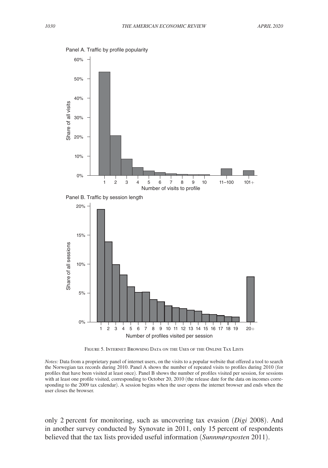

Figure 5. Internet Browsing Data on the Uses of the Online Tax Lists

*Notes:* Data from a proprietary panel of internet users, on the visits to a popular website that offered a tool to search the Norwegian tax records during 2010. Panel A shows the number of repeated visits to profiles during 2010 (for profiles that have been visited at least once). Panel B shows the number of profiles visited per session, for sessions with at least one profile visited, corresponding to October 20, 2010 (the release date for the data on incomes corresponding to the 2009 tax calendar). A session begins when the user opens the internet browser and ends when the user closes the browser.

only 2 percent for monitoring, such as uncovering tax evasion (*Digi* 2008). And in another survey conducted by Synovate in 2011, only 15 percent of respondents believed that the tax lists provided useful information (*Sunnmørsposten* 2011).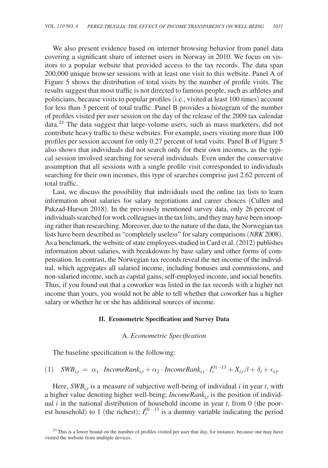We also present evidence based on internet browsing behavior from panel data covering a significant share of internet users in Norway in 2010. We focus on visitors to a popular website that provided access to the tax records. The data span 200,000 unique browser sessions with at least one visit to this website. Panel A of Figure 5 shows the distribution of total visits by the number of profile visits. The results suggest that most traffic is not directed to famous people, such as athletes and politicians, because visits to popular profiles (i.e., visited at least 100 times) account for less than 3 percent of total traffic. Panel B provides a histogram of the number of profiles visited per user session on the day of the release of the 2009 tax calendar data.<sup>21</sup> The data suggest that large-volume users, such as mass marketers, did not contribute heavy traffic to these websites. For example, users visiting more than 100 profiles per session account for only 0.27 percent of total visits. Panel B of Figure 5 also shows that individuals did not search only for their own incomes, as the typical session involved searching for several individuals. Even under the conservative assumption that all sessions with a single profile visit corresponded to individuals searching for their own incomes, this type of searches comprise just 2.62 percent of total traffic.

Last, we discuss the possibility that individuals used the online tax lists to learn information about salaries for salary negotiations and career choices (Cullen and Pakzad-Hurson 2018). In the previously mentioned survey data, only 26 percent of individuals searched for work colleagues in the tax lists, and they may have been snooping rather than researching. Moreover, due to the nature of the data, the Norwegian tax lists have been described as "completely useless" for salary comparisons (*NRK* 2008). As a benchmark, the website of state employees studied in Card et al. (2012) publishes information about salaries, with breakdowns by base salary and other forms of compensation. In contrast, the Norwegian tax records reveal the net income of the individual, which aggregates all salaried income, including bonuses and commissions, and non-salaried income, such as capital gains, self-employed income, and social benefits. Thus, if you found out that a coworker was listed in the tax records with a higher net income than yours, you would not be able to tell whether that coworker has a higher salary or whether he or she has additional sources of income.

#### **II. Econometric Specification and Survey Data**

### A. *Econometric Specification*

The baseline specification is the following:

 $(1)$  *SWB*<sub>*i*,*t*</sub> =  $\alpha_1 \cdot \text{IncomeRank}_{i,t} + \alpha_2 \cdot \text{IncomeRank}_{i,t} \cdot I_t^{01-13} + X_{i,t}\beta + \delta_t + \epsilon_{i,t}$ 

Here,  $SWB_{i,t}$  is a measure of subjective well-being of individual *i* in year *t*, with a higher value denoting higher well-being; *IncomeRanki*,*<sup>t</sup>* is the position of individual  $i$  in the national distribution of household income in year  $t$ , from 0 (the poorest household) to 1 (the richest);  $I_t^{01-13}$  is a dummy variable indicating the period

 $21$ This is a lower bound on the number of profiles visited per user that day, for instance, because one may have visited the website from multiple devices.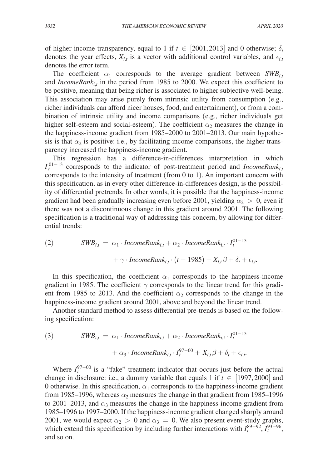of higher income transparency, equal to 1 if  $t \in [2001, 2013]$  and 0 otherwise;  $\delta_t$ denotes the year effects,  $X_{i,t}$  is a vector with additional control variables, and  $\epsilon_{i,t}$ denotes the error term.

The coefficient  $\alpha_1$  corresponds to the average gradient between  $SWB_{i,t}$ and *IncomeRank*<sub>*i*,*t*</sub> in the period from 1985 to 2000. We expect this coefficient to be positive, meaning that being richer is associated to higher subjective well-being. This association may arise purely from intrinsic utility from consumption (e.g., richer individuals can afford nicer houses, food, and entertainment), or from a combination of intrinsic utility and income comparisons (e.g., richer individuals get higher self-esteem and social-esteem). The coefficient  $\alpha_2$  measures the change in the happiness-income gradient from 1985–2000 to 2001–2013. Our main hypothesis is that  $\alpha_2$  is positive: i.e., by facilitating income comparisons, the higher transparency increased the happiness-income gradient.

This regression has a difference-in-differences interpretation in which  $I_t^{01-13}$  corresponds to the indicator of post-treatment period and *IncomeRank*<sub>*i*,*t*</sub> corresponds to the intensity of treatment (from 0 to 1). An important concern with this specification, as in every other difference-in-differences design, is the possibility of differential pretrends. In other words, it is possible that the happiness-income gradient had been gradually increasing even before 2001, yielding  $\alpha_2 > 0$ , even if there was not a discontinuous change in this gradient around 2001. The following specification is a traditional way of addressing this concern, by allowing for differential trends:

(2) 
$$
SWB_{i,t} = \alpha_1 \cdot IncomeRank_{i,t} + \alpha_2 \cdot IncomeRank_{i,t} \cdot I_t^{01-13} + \gamma \cdot IncomeRank_{i,t} \cdot (t-1985) + X_{i,t}\beta + \delta_t + \epsilon_{i,t}.
$$

In this specification, the coefficient  $\alpha_1$  corresponds to the happiness-income gradient in 1985. The coefficient  $\gamma$  corresponds to the linear trend for this gradient from 1985 to 2013. And the coefficient  $\alpha_2$  corresponds to the change in the happiness-income gradient around 2001, above and beyond the linear trend.

Another standard method to assess differential pre-trends is based on the following specification:

(3) 
$$
SWB_{i,t} = \alpha_1 \cdot IncomeRank_{i,t} + \alpha_2 \cdot IncomeRank_{i,t} \cdot I_t^{01-13}
$$

$$
+ \alpha_3 \cdot IncomeRank_{i,t} \cdot I_t^{97-00} + X_{i,t}\beta + \delta_t + \epsilon_{i,t}.
$$

Where  $I_1^{97-00}$  is a "fake" treatment indicator that occurs just before the actual change in disclosure: i.e., a dummy variable that equals 1 if  $t \in [1997, 2000]$  and 0 otherwise. In this specification,  $\alpha_1$  corresponds to the happiness-income gradient from 1985–1996, whereas  $\alpha_2$  measures the change in that gradient from 1985–1996 to 2001–2013, and  $\alpha_3$  measures the change in the happiness-income gradient from 1985–1996 to 1997–2000. If the happiness-income gradient changed sharply around 2001, we would expect  $\alpha_2 > 0$  and  $\alpha_3 = 0$ . We also present event-study graphs, which extend this specification by including further interactions with  $I_t^{89-92}$ ,  $I_t^{93-96}$ , and so on.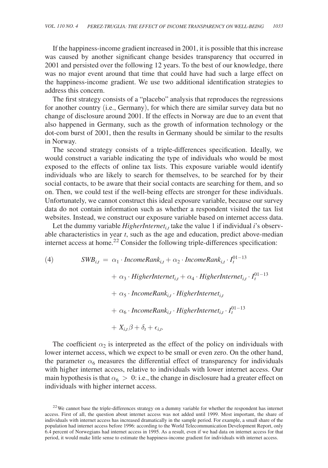If the happiness-income gradient increased in 2001, it is possible that this increase was caused by another significant change besides transparency that occurred in 2001 and persisted over the following 12 years. To the best of our knowledge, there was no major event around that time that could have had such a large effect on the happiness-income gradient. We use two additional identification strategies to address this concern.

The first strategy consists of a "placebo" analysis that reproduces the regressions for another country (i.e., Germany), for which there are similar survey data but no change of disclosure around 2001. If the effects in Norway are due to an event that also happened in Germany, such as the growth of information technology or the dot-com burst of 2001, then the results in Germany should be similar to the results in Norway.

The second strategy consists of a triple-differences specification. Ideally, we would construct a variable indicating the type of individuals who would be most exposed to the effects of online tax lists. This exposure variable would identify individuals who are likely to search for themselves, to be searched for by their social contacts, to be aware that their social contacts are searching for them, and so on. Then, we could test if the well-being effects are stronger for these individuals. Unfortunately, we cannot construct this ideal exposure variable, because our survey data do not contain information such as whether a respondent visited the tax list websites. Instead, we construct our exposure variable based on internet access data.

Let the dummy variable  $Higher Internet_{i,t}$  take the value 1 if individual *i*'s observable characteristics in year *t*, such as the age and education, predict above-median internet access at home.22 Consider the following triple-differences specification:

(4) 
$$
SWB_{i,t} = \alpha_1 \cdot IncomeRank_{i,t} + \alpha_2 \cdot IncomeRank_{i,t} \cdot I_t^{01-13} + \alpha_3 \cdot HigherInternet_{i,t} + \alpha_4 \cdot HigherInternet_{i,t} \cdot I_t^{01-13} + \alpha_5 \cdot IncomeRank_{i,t} \cdot HigherInternet_{i,t} + \alpha_6 \cdot IncomeRank_{i,t} \cdot HigherInternet_{i,t} \cdot I_t^{01-13} + X_{i,t}\beta + \delta_t + \epsilon_{i,t}.
$$

The coefficient  $\alpha_2$  is interpreted as the effect of the policy on individuals with lower internet access, which we expect to be small or even zero. On the other hand, the parameter  $\alpha_6$  measures the differential effect of transparency for individuals with higher internet access, relative to individuals with lower internet access. Our main hypothesis is that  $\alpha_6 > 0$ : i.e., the change in disclosure had a greater effect on individuals with higher internet access.

<sup>&</sup>lt;sup>22</sup>We cannot base the triple-differences strategy on a dummy variable for whether the respondent has internet access. First of all, the question about internet access was not added until 1999. Most important, the share of individuals with internet access has increased dramatically in the sample period. For example, a small share of the population had internet access before 1996: according to the World Telecommunication Development Report, only 6.4 percent of Norwegians had internet access in 1995. As a result, even if we had data on internet access for that period, it would make little sense to estimate the happiness-income gradient for individuals with internet access.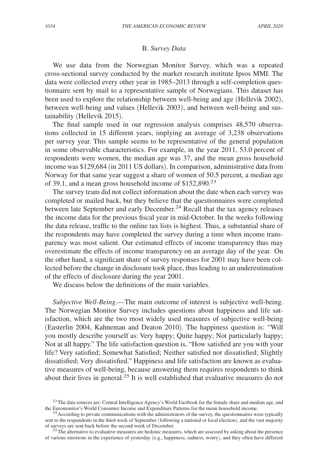## B. *Survey Data*

We use data from the Norwegian Monitor Survey, which was a repeated cross-sectional survey conducted by the market research institute Ipsos MMI. The data were collected every other year in 1985–2013 through a self-completion questionnaire sent by mail to a representative sample of Norwegians. This dataset has been used to explore the relationship between well-being and age (Hellevik 2002), between well-being and values (Hellevik 2003), and between well-being and sustainability (Hellevik 2015).

The final sample used in our regression analysis comprises 48,570 observations collected in 15 different years, implying an average of 3,238 observations per survey year. This sample seems to be representative of the general population in some observable characteristics. For example, in the year 2011, 53.0 percent of respondents were women, the median age was 37, and the mean gross household income was \$129,684 (in 2011 US dollars). In comparison, administrative data from Norway for that same year suggest a share of women of 50.5 percent, a median age of 39.1, and a mean gross household income of  $$152,890.<sup>23</sup>$ 

The survey team did not collect information about the date when each survey was completed or mailed back, but they believe that the questionnaires were completed between late September and early December.<sup>24</sup> Recall that the tax agency releases the income data for the previous fiscal year in mid-October. In the weeks following the data release, traffic to the online tax lists is highest. Thus, a substantial share of the respondents may have completed the survey during a time when income transparency was most salient. Our estimated effects of income transparency thus may overestimate the effects of income transparency on an average day of the year. On the other hand, a significant share of survey responses for 2001 may have been collected before the change in disclosure took place, thus leading to an underestimation of the effects of disclosure during the year 2001.

We discuss below the definitions of the main variables.

*Subjective Well-Being*.—The main outcome of interest is subjective well-being. The Norwegian Monitor Survey includes questions about happiness and life satisfaction, which are the two most widely used measures of subjective well-being (Easterlin 2004, Kahneman and Deaton 2010). The happiness question is: "Will you mostly describe yourself as: Very happy; Quite happy; Not particularly happy; Not at all happy." The life satisfaction question is, "How satisfied are you with your life? Very satisfied; Somewhat Satisfied; Neither satisfied nor dissatisfied; Slightly dissatisfied; Very dissatisfied." Happiness and life satisfaction are known as evaluative measures of well-being, because answering them requires respondents to think about their lives in general.25 It is well established that evaluative measures do not

<sup>&</sup>lt;sup>23</sup> The data sources are: Central Intelligence Agency's World Factbook for the female share and median age, and the Euromonitor's World Consumer Income and Expenditure Patterns for the mean household income.

<sup>&</sup>lt;sup>24</sup> According to private communications with the administrators of the survey, the questionnaires were typically sent to the respondents in the third week of September (following a national or local election), and the vast majority of surveys are sent back before the second week of December.

<sup>&</sup>lt;sup>25</sup>The alternative to evaluative measures are hedonic measures, which are assessed by asking about the presence of various emotions in the experience of yesterday (e.g., happiness, sadness, worry), and they often have different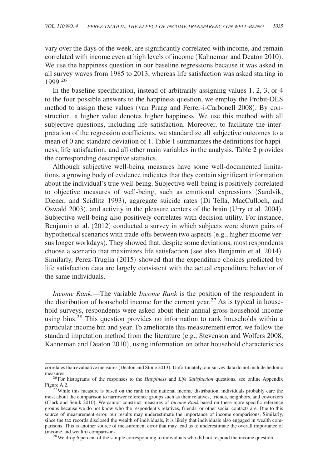vary over the days of the week, are significantly correlated with income, and remain correlated with income even at high levels of income (Kahneman and Deaton 2010). We use the happiness question in our baseline regressions because it was asked in all survey waves from 1985 to 2013, whereas life satisfaction was asked starting in 1999.<sup>26</sup>

In the baseline specification, instead of arbitrarily assigning values 1, 2, 3, or 4 to the four possible answers to the happiness question, we employ the Probit-OLS method to assign these values (van Praag and Ferrer-i-Carbonell 2008). By construction, a higher value denotes higher happiness. We use this method with all subjective questions, including life satisfaction. Moreover, to facilitate the interpretation of the regression coefficients, we standardize all subjective outcomes to a mean of 0 and standard deviation of 1. Table 1 summarizes the definitions for happiness, life satisfaction, and all other main variables in the analysis. Table 2 provides the corresponding descriptive statistics.

Although subjective well-being measures have some well-documented limitations, a growing body of evidence indicates that they contain significant information about the individual's true well-being. Subjective well-being is positively correlated to objective measures of well-being, such as emotional expressions (Sandvik, Diener, and Seidlitz 1993), aggregate suicide rates (Di Tella, MacCulloch, and Oswald 2003), and activity in the pleasure centers of the brain (Urry et al. 2004). Subjective well-being also positively correlates with decision utility. For instance, Benjamin et al. (2012) conducted a survey in which subjects were shown pairs of hypothetical scenarios with trade-offs between two aspects (e.g., higher income versus longer workdays). They showed that, despite some deviations, most respondents choose a scenario that maximizes life satisfaction (see also Benjamin et al. 2014). Similarly, Perez-Truglia (2015) showed that the expenditure choices predicted by life satisfaction data are largely consistent with the actual expenditure behavior of the same individuals.

*Income Rank*.—The variable *Income Rank* is the position of the respondent in the distribution of household income for the current year.<sup>27</sup> As is typical in household surveys, respondents were asked about their annual gross household income using bins.<sup>28</sup> This question provides no information to rank households within a particular income bin and year. To ameliorate this measurement error, we follow the standard imputation method from the literature (e.g., Stevenson and Wolfers 2008, Kahneman and Deaton 2010), using information on other household characteristics

correlates than evaluative measures (Deaton and Stone 2013). Unfortunately, our survey data do not include hedonic measures.

<sup>26</sup>For histograms of the responses to the *Happiness* and *Life Satisfaction* questions, see online Appendix Figure A.2.

<sup>&</sup>lt;sup>27</sup>While this measure is based on the rank in the national income distribution, individuals probably care the most about the comparison to narrower reference groups such as their relatives, friends, neighbors, and coworkers (Clark and Senik 2010). We cannot construct measures of *Income Rank* based on these more specific reference groups because we do not know who the respondent's relatives, friends, or other social contacts are. Due to this source of measurement error, our results may underestimate the importance of income comparisons. Similarly, since the tax records disclosed the wealth of individuals, it is likely that individuals also engaged in wealth comparisons. This is another source of measurement error that may lead us to underestimate the overall importance of (income and wealth) comparisons.

<sup>&</sup>lt;sup>28</sup>We drop 6 percent of the sample corresponding to individuals who did not respond the income question.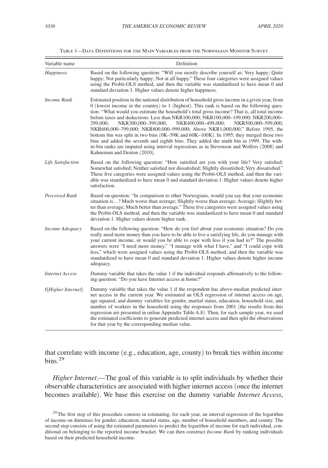Table 1—Data Definitions for the Main Variables from the Norwegian Monitor Survey

| Variable name          | Definition                                                                                                                                                                                                                                                                                                                                                                                                                                                                                                                                                                                                                                                                                                                                                                                                                                                                |
|------------------------|---------------------------------------------------------------------------------------------------------------------------------------------------------------------------------------------------------------------------------------------------------------------------------------------------------------------------------------------------------------------------------------------------------------------------------------------------------------------------------------------------------------------------------------------------------------------------------------------------------------------------------------------------------------------------------------------------------------------------------------------------------------------------------------------------------------------------------------------------------------------------|
| Happiness              | Based on the following question: "Will you mostly describe yourself as: Very happy; Quite<br>happy; Not particularly happy; Not at all happy." These four categories were assigned values<br>using the Probit-OLS method, and then the variable was standardized to have mean 0 and<br>standard deviation 1. Higher values denote higher happiness.                                                                                                                                                                                                                                                                                                                                                                                                                                                                                                                       |
| <b>Income Rank</b>     | Estimated position in the national distribution of household gross income in a given year, from<br>$0$ (lowest income in the country) to 1 (highest). This rank is based on the following ques-<br>tion: "What would you estimate the household's total gross income? That is, all total income<br>before taxes and deductions: Less than NKR100,000; NKR100,000–199,000; NKR200,000–<br>NKR300,000-399,000;<br>NKR400,000-499,000;<br>NKR500,000-599,000;<br>299,000;<br>NKR600,000-799,000; NKR800,000-999,000; Above NKR1,000,000." Before 1995, the<br>bottom bin was split in two bins (0K-59K and 60K-100K). In 1995, they merged those two<br>bins and added the seventh and eighth bins. They added the ninth bin in 1999. The with-<br>in-bin ranks are imputed using interval regressions as in Stevenson and Wolfers (2008) and<br>Kahneman and Deaton (2010). |
| Life Satisfaction      | Based on the following question: "How satisfied are you with your life? Very satisfied;<br>Somewhat satisfied; Neither satisfied nor dissatisfied; Slightly dissatisfied; Very dissatisfied."<br>These five categories were assigned values using the Probit-OLS method, and then the vari-<br>able was standardized to have mean 0 and standard deviation 1. Higher values denote higher<br>satisfaction.                                                                                                                                                                                                                                                                                                                                                                                                                                                                |
| Perceived Rank         | Based on question: "In comparison to other Norwegians, would you say that your economic<br>situation is? Much worse than average; Slightly worse than average; Average; Slightly bet-<br>ter than average; Much better than average." These five categories were assigned values using<br>the Probit-OLS method, and then the variable was standardized to have mean 0 and standard<br>deviation 1. Higher values denote higher rank.                                                                                                                                                                                                                                                                                                                                                                                                                                     |
| Income Adequacy        | Based on the following question: "How do you feel about your economic situation? Do you<br>really need more money than you have to be able to live a satisfying life, do you manage with<br>your current income, or would you be able to cope with less if you had to?" The possible<br>answers were "I need more money," "I manage with what I have," and "I could cope with<br>less," which were assigned values using the Probit-OLS method, and then the variable was<br>standardized to have mean 0 and standard deviation 1. Higher values denote higher income<br>adequacy.                                                                                                                                                                                                                                                                                        |
| <b>Internet Access</b> | Dummy variable that takes the value 1 if the individual responds affirmatively to the follow-<br>ing question: "Do you have Internet access at home?"                                                                                                                                                                                                                                                                                                                                                                                                                                                                                                                                                                                                                                                                                                                     |
| I{Higher Internet}     | Dummy variable that takes the value 1 if the respondent has above-median predicted inter-<br>net access in the current year. We estimated an OLS regression of internet access on age,<br>age squared, and dummy variables for gender, marital status, education, household size, and<br>number of workers in the household using the responses from 2001 (the results from this<br>regression are presented in online Appendix Table A.8). Then, for each sample year, we used<br>the estimated coefficients to generate predicted internet access and then split the observations<br>for that year by the corresponding median value.                                                                                                                                                                                                                                   |

that correlate with income (e.g., education, age, county) to break ties within income  $hins$ <sup>29</sup>

*Higher Internet*.—The goal of this variable is to split individuals by whether their observable characteristics are associated with higher internet access (once the internet becomes available). We base this exercise on the dummy variable *Internet Access*,

<sup>&</sup>lt;sup>29</sup>The first step of this procedure consists in estimating, for each year, an interval regression of the logarithm of income on dummies for gender, education, marital status, age, number of household members, and county. The second step consists of using the estimated parameters to predict the logarithm of income for each individual, conditional on belonging to the reported income bracket. We can then construct *Income Rank* by ranking individuals based on their predicted household income.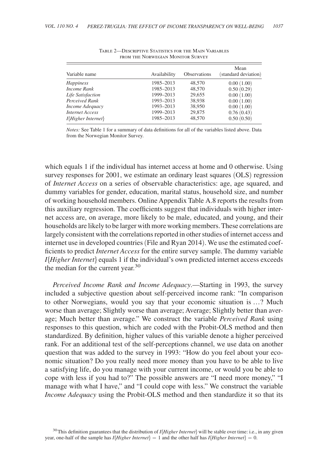| Variable name          | Availability | <b>Observations</b> | Mean<br>(standard deviation) |  |  |
|------------------------|--------------|---------------------|------------------------------|--|--|
| <b>Happiness</b>       | 1985-2013    | 48,570              | 0.00(1.00)                   |  |  |
| Income Rank            | 1985-2013    | 48,570              | 0.50(0.29)                   |  |  |
| Life Satisfaction      | 1999-2013    | 29,655              | 0.00(1.00)                   |  |  |
| Perceived Rank         | 1993-2013    | 38,938              | 0.00(1.00)                   |  |  |
| Income Adequacy        | 1993-2013    | 38,950              | 0.00(1.00)                   |  |  |
| <b>Internet Access</b> | 1999-2013    | 29,875              | 0.76(0.43)                   |  |  |
| $I{Higher Internet}$   | 1985-2013    | 48,570              | 0.50(0.50)                   |  |  |

Table 2—Descriptive Statistics for the Main Variables from the Norwegian Monitor Survey

*Notes:* See Table 1 for a summary of data definitions for all of the variables listed above. Data from the Norwegian Monitor Survey.

which equals 1 if the individual has internet access at home and 0 otherwise. Using survey responses for 2001, we estimate an ordinary least squares (OLS) regression of *Internet Access* on a series of observable characteristics: age, age squared, and dummy variables for gender, education, marital status, household size, and number of working household members. Online Appendix Table A.8 reports the results from this auxiliary regression. The coefficients suggest that individuals with higher internet access are, on average, more likely to be male, educated, and young, and their households are likely to be larger with more working members. These correlations are largely consistent with the correlations reported in other studies of internet access and internet use in developed countries (File and Ryan 2014). We use the estimated coefficients to predict *Internet Access* for the entire survey sample. The dummy variable *I*{*Higher Internet*} equals 1 if the individual's own predicted internet access exceeds the median for the current year.<sup>30</sup>

*Perceived Income Rank and Income Adequacy*.—Starting in 1993, the survey included a subjective question about self-perceived income rank: "In comparison to other Norwegians, would you say that your economic situation is …? Much worse than average; Slightly worse than average; Average; Slightly better than average; Much better than average." We construct the variable *Perceived Rank* using responses to this question, which are coded with the Probit-OLS method and then standardized. By definition, higher values of this variable denote a higher perceived rank. For an additional test of the self-perceptions channel, we use data on another question that was added to the survey in 1993: "How do you feel about your economic situation? Do you really need more money than you have to be able to live a satisfying life, do you manage with your current income, or would you be able to cope with less if you had to?" The possible answers are "I need more money," "I manage with what I have," and "I could cope with less." We construct the variable *Income Adequacy* using the Probit-OLS method and then standardize it so that its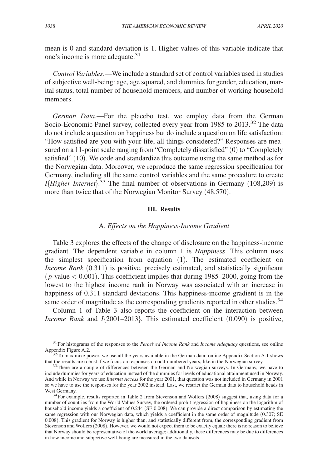mean is 0 and standard deviation is 1. Higher values of this variable indicate that one's income is more adequate.<sup>31</sup>

*Control Variables*.—We include a standard set of control variables used in studies of subjective well-being: age, age squared, and dummies for gender, education, marital status, total number of household members, and number of working household members.

*German Data*.—For the placebo test, we employ data from the German Socio-Economic Panel survey, collected every year from 1985 to 2013.<sup>32</sup> The data do not include a question on happiness but do include a question on life satisfaction: "How satisfied are you with your life, all things considered?" Responses are measured on a 11-point scale ranging from "Completely dissatisfied" (0) to "Completely satisfied" (10). We code and standardize this outcome using the same method as for the Norwegian data. Moreover, we reproduce the same regression specification for Germany, including all the same control variables and the same procedure to create *I*{*Higher Internet*}.<sup>33</sup> The final number of observations in Germany (108,209) is more than twice that of the Norwegian Monitor Survey (48,570).

#### **III. Results**

#### A. *Effects on the Happiness-Income Gradient*

Table 3 explores the effects of the change of disclosure on the happiness-income gradient. The dependent variable in column 1 is *Happiness*. This column uses the simplest specification from equation (1). The estimated coefficient on *Income Rank* (0.311) is positive, precisely estimated, and statistically significant ( $p$ -value  $< 0.001$ ). This coefficient implies that during 1985–2000, going from the lowest to the highest income rank in Norway was associated with an increase in happiness of 0.311 standard deviations. This happiness-income gradient is in the same order of magnitude as the corresponding gradients reported in other studies.<sup>34</sup>

Column 1 of Table 3 also reports the coefficient on the interaction between *Income Rank* and *I*{2001*–*2013}. This estimated coefficient (0.090) is positive,

<sup>31</sup>For histograms of the responses to the *Perceived Income Rank* and *Income Adequacy* questions, see online Appendix Figure A.2.

 $32$ To maximize power, we use all the years available in the German data: online Appendix Section A.1 shows that the results are robust if we focus on responses on odd-numbered years, like in the Norwegian survey.

<sup>&</sup>lt;sup>33</sup>There are a couple of differences between the German and Norwegian surveys. In Germany, we have to include dummies for years of education instead of the dummies for levels of educational attainment used in Norway. And while in Norway we use *Internet Access* for the year 2001, that question was not included in Germany in 2001 so we have to use the responses for the year 2002 instead. Last, we restrict the German data to household heads in West Germany.

<sup>&</sup>lt;sup>34</sup>For example, results reported in Table 2 from Stevenson and Wolfers (2008) suggest that, using data for a number of countries from the World Values Survey, the ordered probit regression of happiness on the logarithm of household income yields a coefficient of 0.244 (SE 0.008). We can provide a direct comparison by estimating the same regression with our Norwegian data, which yields a coefficient in the same order of magnitude (0.307; SE 0.008). This gradient for Norway is higher than, and statistically different from, the corresponding gradient from Stevenson and Wolfers (2008). However, we would not expect them to be exactly equal: there is no reason to believe that Norway should be representative of the world average; additionally, these differences may be due to differences in how income and subjective well-being are measured in the two datasets.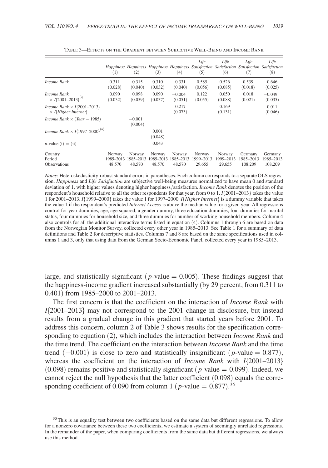|                                                                  | (1)                           | (2)                           | (3)                           | (4)                           | Life<br>(5)                   | Life<br>Happiness Happiness Happiness Happiness Satisfaction Satisfaction<br>(6) | Life<br>Satisfaction Satisfaction<br>(7) | Life<br>(8)                     |
|------------------------------------------------------------------|-------------------------------|-------------------------------|-------------------------------|-------------------------------|-------------------------------|----------------------------------------------------------------------------------|------------------------------------------|---------------------------------|
| <b>Income Rank</b>                                               | 0.311<br>(0.028)              | 0.315<br>(0.040)              | 0.310<br>(0.032)              | 0.331<br>(0.040)              | 0.585<br>(0.056)              | 0.526<br>(0.085)                                                                 | 0.539<br>(0.018)                         | 0.646<br>(0.025)                |
| Income Rank<br>$\times$ I{2001-2013} <sup>(1)</sup>              | 0.090<br>(0.032)              | 0.098<br>(0.059)              | 0.090<br>(0.037)              | $-0.004$<br>(0.051)           | 0.122<br>(0.055)              | 0.050<br>(0.088)                                                                 | 0.018<br>(0.021)                         | $-0.049$<br>(0.035)             |
| Income Rank $\times$ I{2001-2013}<br>$\times$ I{Higher Internet} |                               |                               |                               | 0.217<br>(0.073)              |                               | 0.169<br>(0.131)                                                                 |                                          | $-0.011$<br>(0.046)             |
| <i>Income Rank</i> $\times$ ( <i>Year</i> $-$ 1985)              |                               | $-0.001$<br>(0.004)           |                               |                               |                               |                                                                                  |                                          |                                 |
| Income Rank $\times$ I{1997-2000} <sup>(ii)</sup>                |                               |                               | 0.001<br>(0.048)              |                               |                               |                                                                                  |                                          |                                 |
| $p$ -value (i) = (ii)                                            |                               |                               | 0.043                         |                               |                               |                                                                                  |                                          |                                 |
| Country<br>Period<br><b>Observations</b>                         | Norway<br>1985-2013<br>48.570 | Norway<br>1985-2013<br>48,570 | Norway<br>1985-2013<br>48.570 | Norway<br>1985–2013<br>48,570 | Norway<br>1999–2013<br>29,655 | Norway<br>1999-2013<br>29,655                                                    | Germany<br>1985-2013<br>108,209          | Germany<br>1985-2013<br>108,209 |

Table 3—Effects on the Gradient between Subjective Well-Being and Income Rank

*Notes:* Heteroskedasticity-robust standard errors in parentheses. Each column corresponds to a separate OLS regression. *Happiness* and *Life Satisfaction* are subjective well-being measures normalized to have mean 0 and standard deviation of 1, with higher values denoting higher happiness/satisfaction. *Income Rank* denotes the position of the respondent's household relative to all the other respondents for that year, from 0 to 1. *I*{2001–2013} takes the value 1 for 2001–2013. *I*{1999–2000} takes the value 1 for 1997–2000. *I*{*Higher Internet*} is a dummy variable that takes the value 1 if the respondent's predicted *Internet Access* is above the median value for a given year. All regressions control for year dummies, age, age squared, a gender dummy, three education dummies, four dummies for marital status, four dummies for household size, and three dummies for number of working household members. Column 4 also controls for all the additional interactive terms listed in equation (4). Columns 1 through 6 are based on data from the Norwegian Monitor Survey, collected every other year in 1985–2013. See Table 1 for a summary of data definitions and Table 2 for descriptive statistics. Columns 7 and 8 are based on the same specifications used in columns 1 and 3, only that using data from the German Socio-Economic Panel, collected every year in 1985–2013.

large, and statistically significant ( $p$ -value  $= 0.005$ ). These findings suggest that the happiness-income gradient increased substantially (by 29 percent, from 0.311 to 0.401) from 1985–2000 to 2001–2013.

The first concern is that the coefficient on the interaction of *Income Rank* with *I*{2001*–*2013} may not correspond to the 2001 change in disclosure, but instead results from a gradual change in this gradient that started years before 2001. To address this concern, column 2 of Table 3 shows results for the specification corresponding to equation (2), which includes the interaction between *Income Rank* and the time trend. The coefficient on the interaction between *Income Rank* and the time trend  $(-0.001)$  is close to zero and statistically insignificant (*p*-value = 0.877), whereas the coefficient on the interaction of *Income Rank* with *I*{2001*–*2013}  $(0.098)$  remains positive and statistically significant ( $p$ -value  $= 0.099$ ). Indeed, we cannot reject the null hypothesis that the latter coefficient (0.098) equals the corresponding coefficient of 0.090 from column 1 ( $p$ -value = 0.877).<sup>35</sup>

<sup>&</sup>lt;sup>35</sup>This is an equality test between two coefficients based on the same data but different regressions. To allow for a nonzero covariance between these two coefficients, we estimate a system of seemingly unrelated regressions. In the remainder of the paper, when comparing coefficients from the same data but different regressions, we always use this method.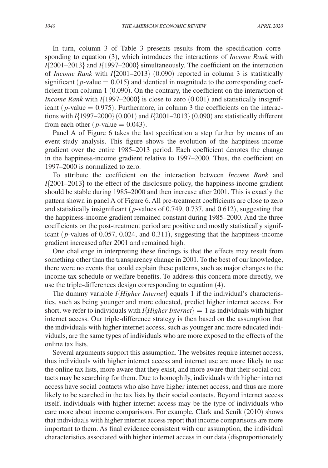In turn, column 3 of Table 3 presents results from the specification corresponding to equation (3), which introduces the interactions of *Income Rank* with *I*{2001*–*2013} and *I*{1997*–*2000} simultaneously. The coefficient on the interaction of *Income Rank* with *I*{2001*–*2013} (0.090) reported in column 3 is statistically significant ( $p$ -value  $= 0.015$ ) and identical in magnitude to the corresponding coefficient from column 1 (0.090). On the contrary, the coefficient on the interaction of *Income Rank* with *I*{1997*–*2000} is close to zero (0.001) and statistically insignificant ( $p$ -value  $= 0.975$ ). Furthermore, in column 3 the coefficients on the interactions with *I*{1997*–*2000} (0.001) and *I*{2001*–*2013} (0.090) are statistically different from each other ( $p$ -value = 0.043).

Panel A of Figure 6 takes the last specification a step further by means of an event-study analysis. This figure shows the evolution of the happiness-income gradient over the entire 1985–2013 period. Each coefficient denotes the change in the happiness-income gradient relative to 1997–2000. Thus, the coefficient on 1997–2000 is normalized to zero.

To attribute the coefficient on the interaction between *Income Rank* and *I*{2001*–*2013} to the effect of the disclosure policy, the happiness-income gradient should be stable during 1985–2000 and then increase after 2001. This is exactly the pattern shown in panel A of Figure 6. All pre-treatment coefficients are close to zero and statistically insignificant (*p*-values of 0.749, 0.737, and 0.612), suggesting that the happiness-income gradient remained constant during 1985–2000. And the three coefficients on the post-treatment period are positive and mostly statistically significant ( *p*-values of 0.057, 0.024, and 0.311), suggesting that the happiness-income gradient increased after 2001 and remained high.

One challenge in interpreting these findings is that the effects may result from something other than the transparency change in 2001. To the best of our knowledge, there were no events that could explain these patterns, such as major changes to the income tax schedule or welfare benefits. To address this concern more directly, we use the triple-differences design corresponding to equation (4).

The dummy variable *I*{*Higher Internet*} equals 1 if the individual's characteristics, such as being younger and more educated, predict higher internet access. For short, we refer to individuals with *I*{*Higher Internet*} = 1 as individuals with higher internet access. Our triple-difference strategy is then based on the assumption that the individuals with higher internet access, such as younger and more educated individuals, are the same types of individuals who are more exposed to the effects of the online tax lists.

Several arguments support this assumption. The websites require internet access, thus individuals with higher internet access and internet use are more likely to use the online tax lists, more aware that they exist, and more aware that their social contacts may be searching for them. Due to homophily, individuals with higher internet access have social contacts who also have higher internet access, and thus are more likely to be searched in the tax lists by their social contacts. Beyond internet access itself, individuals with higher internet access may be the type of individuals who care more about income comparisons. For example, Clark and Senik (2010) shows that individuals with higher internet access report that income comparisons are more important to them. As final evidence consistent with our assumption, the individual characteristics associated with higher internet access in our data (disproportionately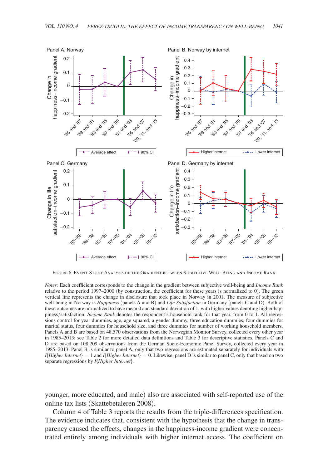

Figure 6. Event-Study Analysis of the Gradient between Subjective Well-Being and Income Rank

*Notes:* Each coefficient corresponds to the change in the gradient between subjective well-being and *Income Rank* relative to the period 1997–2000 (by construction, the coefficient for these years is normalized to 0). The green vertical line represents the change in disclosure that took place in Norway in 2001. The measure of subjective well-being in Norway is *Happiness* (panels A and B) and *Life Satisfaction* in Germany (panels C and D). Both of these outcomes are normalized to have mean 0 and standard deviation of 1, with higher values denoting higher happiness/satisfaction. *Income Rank* denotes the respondent's household rank for that year, from 0 to 1. All regressions control for year dummies, age, age squared, a gender dummy, three education dummies, four dummies for marital status, four dummies for household size, and three dummies for number of working household members. Panels A and B are based on 48,570 observations from the Norwegian Monitor Survey, collected every other year in 1985–2013: see Table 2 for more detailed data definitions and Table 3 for descriptive statistics. Panels C and D are based on 108,209 observations from the German Socio-Economic Panel Survey, collected every year in 1985–2013. Panel B is similar to panel A, only that two regressions are estimated separately for individuals with *I*{*Higher Internet*} = 1 and *I*{*Higher Internet*} = 0. Likewise, panel D is similar to panel C, only that based on two separate regressions by *I*{*Higher Internet*}.

younger, more educated, and male) also are associated with self-reported use of the online tax lists (Skattebetaleren 2008).

Column 4 of Table 3 reports the results from the triple-differences specification. The evidence indicates that, consistent with the hypothesis that the change in transparency caused the effects, changes in the happiness-income gradient were concentrated entirely among individuals with higher internet access. The coefficient on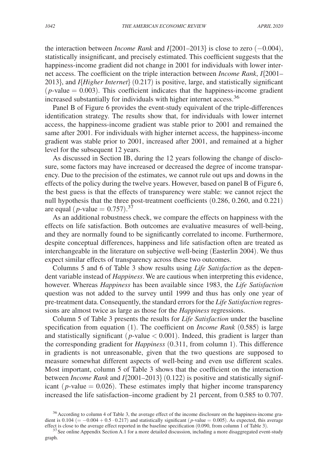the interaction between *Income Rank* and *I*{2001*–*2013} is close to zero (−0.004), statistically insignificant, and precisely estimated. This coefficient suggests that the happiness-income gradient did not change in 2001 for individuals with lower internet access. The coefficient on the triple interaction between *Income Rank*, *I*{2001*–* 2013}, and *I*{*Higher Internet*} (0.217) is positive, large, and statistically significant  $(p$ -value  $= 0.003$ ). This coefficient indicates that the happiness-income gradient increased substantially for individuals with higher internet access.<sup>36</sup>

Panel B of Figure 6 provides the event-study equivalent of the triple-differences identification strategy. The results show that, for individuals with lower internet access, the happiness-income gradient was stable prior to 2001 and remained the same after 2001. For individuals with higher internet access, the happiness-income gradient was stable prior to 2001, increased after 2001, and remained at a higher level for the subsequent 12 years.

As discussed in Section IB, during the 12 years following the change of disclosure, some factors may have increased or decreased the degree of income transparency. Due to the precision of the estimates, we cannot rule out ups and downs in the effects of the policy during the twelve years. However, based on panel B of Figure 6, the best guess is that the effects of transparency were stable: we cannot reject the null hypothesis that the three post-treatment coefficients (0.286, 0.260, and 0.221) are equal ( $p$ -value = 0.757).<sup>37</sup>

As an additional robustness check, we compare the effects on happiness with the effects on life satisfaction. Both outcomes are evaluative measures of well-being, and they are normally found to be significantly correlated to income. Furthermore, despite conceptual differences, happiness and life satisfaction often are treated as interchangeable in the literature on subjective well-being (Easterlin 2004). We thus expect similar effects of transparency across these two outcomes.

Columns 5 and 6 of Table 3 show results using *Life Satisfaction* as the dependent variable instead of *Happiness*. We are cautious when interpreting this evidence, however. Whereas *Happiness* has been available since 1983, the *Life Satisfaction* question was not added to the survey until 1999 and thus has only one year of pre-treatment data. Consequently, the standard errors for the *Life Satisfaction* regressions are almost twice as large as those for the *Happiness* regressions.

Column 5 of Table 3 presents the results for *Life Satisfaction* under the baseline specification from equation (1). The coefficient on *Income Rank* (0.585) is large and statistically significant ( $p$ -value  $< 0.001$ ). Indeed, this gradient is larger than the corresponding gradient for *Happiness* (0.311, from column 1). This difference in gradients is not unreasonable, given that the two questions are supposed to measure somewhat different aspects of well-being and even use different scales. Most important, column 5 of Table 3 shows that the coefficient on the interaction between *Income Rank* and *I*{2001*–*2013} (0.122) is positive and statistically significant ( $p$ -value  $= 0.026$ ). These estimates imply that higher income transparency increased the life satisfaction–income gradient by 21 percent, from 0.585 to 0.707.

<sup>&</sup>lt;sup>36</sup> According to column 4 of Table 3, the average effect of the income disclosure on the happiness-income gradient is  $0.104$  (=  $-0.004 + 0.5 \cdot 0.217$ ) and statistically significant (*p*-value = 0.005). As expected, this average effect is close to the average effect reported in the baseline specification  $(0.090,$  from column 1 of Table 3).

<sup>&</sup>lt;sup>37</sup>See online Appendix Section A.1 for a more detailed discussion, including a more disaggregated event-study graph.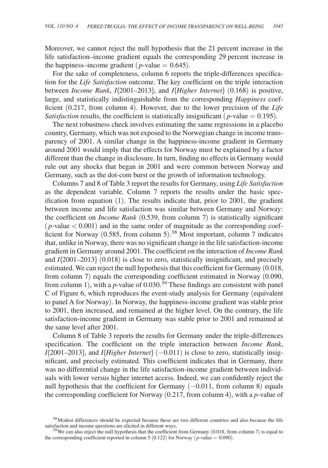Moreover, we cannot reject the null hypothesis that the 21 percent increase in the life satisfaction–income gradient equals the corresponding 29 percent increase in the happiness–income gradient ( $p$ -value  $= 0.645$ ).

For the sake of completeness, column 6 reports the triple-differences specification for the *Life Satisfaction* outcome. The key coefficient on the triple interaction between *Income Rank*, *I*{2001*–*2013}, and *I*{*Higher Internet*} (0.168) is positive, large, and statistically indistinguishable from the corresponding *Happiness* coefficient (0.217, from column 4). However, due to the lower precision of the *Life Satisfaction* results, the coefficient is statistically insignificant ( $p$ -value = 0.195).

The next robustness check involves estimating the same regressions in a placebo country, Germany, which was not exposed to the Norwegian change in income transparency of 2001. A similar change in the happiness-income gradient in Germany around 2001 would imply that the effects for Norway must be explained by a factor different than the change in disclosure. In turn, finding no effects in Germany would rule out any shocks that began in 2001 and were common between Norway and Germany, such as the dot-com burst or the growth of information technology.

Columns 7 and 8 of Table 3 report the results for Germany, using *Life Satisfaction* as the dependent variable. Column 7 reports the results under the basic specification from equation (1). The results indicate that, prior to 2001, the gradient between income and life satisfaction was similar between Germany and Norway: the coefficient on *Income Rank* (0.539, from column 7) is statistically significant  $(p$ -value  $< 0.001)$  and in the same order of magnitude as the corresponding coefficient for Norway (0.585, from column 5). <sup>38</sup> Most important, column 7 indicates that, unlike in Norway, there was no significant change in the life satisfaction-income gradient in Germany around 2001. The coefficient on the interaction of *Income Rank* and *I*{2001*–*2013} (0.018) is close to zero, statistically insignificant, and precisely estimated. We can reject the null hypothesis that this coefficient for Germany (0.018, from column 7) equals the corresponding coefficient estimated in Norway (0.090, from column 1), with a *p*-value of  $0.030$ .<sup>39</sup> These findings are consistent with panel C of Figure 6, which reproduces the event-study analysis for Germany (equivalent to panel A for Norway). In Norway, the happiness-income gradient was stable prior to 2001, then increased, and remained at the higher level. On the contrary, the life satisfaction-income gradient in Germany was stable prior to 2001 and remained at the same level after 2001.

Column 8 of Table 3 reports the results for Germany under the triple-differences specification. The coefficient on the triple interaction between *Income Rank*, *I*{2001–2013}, and *I*{*Higher Internet*} (−0.011) is close to zero, statistically insignificant, and precisely estimated. This coefficient indicates that in Germany, there was no differential change in the life satisfaction-income gradient between individuals with lower versus higher internet access. Indeed, we can confidently reject the null hypothesis that the coefficient for Germany (-0.011, from column 8) equals the corresponding coefficient for Norway (0.217, from column 4), with a *p*-value of

<sup>&</sup>lt;sup>38</sup> Modest differences should be expected because these are two different countries and also because the life satisfaction and income questions are elicited in different ways.

 $39$  We can also reject the null hypothesis that the coefficient from Germany (0.018, from column 7) is equal to the corresponding coefficient reported in column 5 (0.122) for Norway ( $p$ -value = 0.090).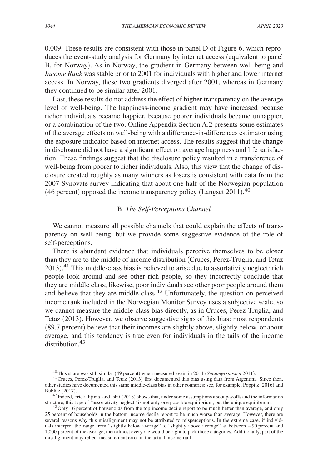0.009. These results are consistent with those in panel D of Figure 6, which reproduces the event-study analysis for Germany by internet access (equivalent to panel B, for Norway). As in Norway, the gradient in Germany between well-being and *Income Rank* was stable prior to 2001 for individuals with higher and lower internet access. In Norway, these two gradients diverged after 2001, whereas in Germany they continued to be similar after 2001.

Last, these results do not address the effect of higher transparency on the average level of well-being. The happiness-income gradient may have increased because richer individuals became happier, because poorer individuals became unhappier, or a combination of the two. Online Appendix Section A.2 presents some estimates of the average effects on well-being with a difference-in-differences estimator using the exposure indicator based on internet access. The results suggest that the change in disclosure did not have a significant effect on average happiness and life satisfaction. These findings suggest that the disclosure policy resulted in a transference of well-being from poorer to richer individuals. Also, this view that the change of disclosure created roughly as many winners as losers is consistent with data from the 2007 Synovate survey indicating that about one-half of the Norwegian population (46 percent) opposed the income transparency policy (Langset 2011). 40

#### B. *The Self-Perceptions Channel*

We cannot measure all possible channels that could explain the effects of transparency on well-being, but we provide some suggestive evidence of the role of self-perceptions.

There is abundant evidence that individuals perceive themselves to be closer than they are to the middle of income distribution (Cruces, Perez-Truglia, and Tetaz  $2013$ ).<sup>41</sup> This middle-class bias is believed to arise due to assortativity neglect: rich people look around and see other rich people, so they incorrectly conclude that they are middle class; likewise, poor individuals see other poor people around them and believe that they are middle class.<sup>42</sup> Unfortunately, the question on perceived income rank included in the Norwegian Monitor Survey uses a subjective scale, so we cannot measure the middle-class bias directly, as in Cruces, Perez-Truglia, and Tetaz (2013). However, we observe suggestive signs of this bias: most respondents (89.7 percent) believe that their incomes are slightly above, slightly below, or about average, and this tendency is true even for individuals in the tails of the income distribution.<sup>43</sup>

<sup>40</sup>This share was still similar (49 percent) when measured again in 2011 (*Sunnmørsposten* 2011).

<sup>&</sup>lt;sup>41</sup> Cruces, Perez-Truglia, and Tetaz (2013) first documented this bias using data from Argentina. Since then, other studies have documented this same middle-class bias in other countries: see, for example, Poppitz (2016) and Bublitz (2017).

 $^{42}$ Indeed, Frick, Iijima, and Ishii (2018) shows that, under some assumptions about payoffs and the information structure, this type of "assortativity neglect" is not only one possible equilibrium, but the unique equilibrium.

<sup>&</sup>lt;sup>43</sup>Only 16 percent of households from the top income decile report to be much better than average, and only 25 percent of households in the bottom income decile report to be much worse than average. However, there are several reasons why this misalignment may not be attributed to misperceptions. In the extreme case, if individuals interpret the range from "slightly below average" to "slightly above average" as between −90 percent and 1,000 percent of the average, then almost everyone would be right to pick those categories. Additionally, part of the misalignment may reflect measurement error in the actual income rank.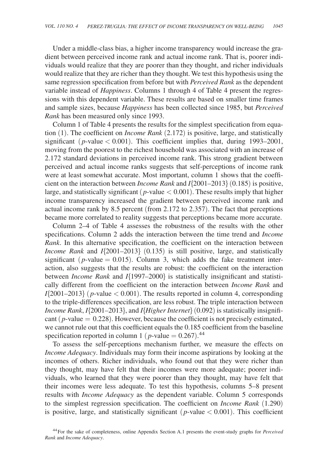Under a middle-class bias, a higher income transparency would increase the gradient between perceived income rank and actual income rank. That is, poorer individuals would realize that they are poorer than they thought, and richer individuals would realize that they are richer than they thought. We test this hypothesis using the same regression specification from before but with *Perceived Rank* as the dependent variable instead of *Happiness*. Columns 1 through 4 of Table 4 present the regressions with this dependent variable. These results are based on smaller time frames and sample sizes, because *Happiness* has been collected since 1985, but *Perceived Rank* has been measured only since 1993.

Column 1 of Table 4 presents the results for the simplest specification from equation (1). The coefficient on *Income Rank* (2.172) is positive, large, and statistically significant ( $p$ -value  $< 0.001$ ). This coefficient implies that, during 1993–2001, moving from the poorest to the richest household was associated with an increase of 2.172 standard deviations in perceived income rank. This strong gradient between perceived and actual income ranks suggests that self-perceptions of income rank were at least somewhat accurate. Most important, column 1 shows that the coefficient on the interaction between *Income Rank* and *I*{2001*–*2013} (0.185) is positive, large, and statistically significant ( $p$ -value  $< 0.001$ ). These results imply that higher income transparency increased the gradient between perceived income rank and actual income rank by 8.5 percent (from 2.172 to 2.357). The fact that perceptions became more correlated to reality suggests that perceptions became more accurate.

Column 2–4 of Table 4 assesses the robustness of the results with the other specifications. Column 2 adds the interaction between the time trend and *Income Rank*. In this alternative specification, the coefficient on the interaction between *Income Rank* and *I*{2001*–*2013} (0.135) is still positive, large, and statistically significant ( $p$ -value = 0.015). Column 3, which adds the fake treatment interaction, also suggests that the results are robust: the coefficient on the interaction between *Income Rank* and *I*{1997*–*2000} is statistically insignificant and statistically different from the coefficient on the interaction between *Income Rank* and *I*{2001*–*2013} ( *p*-value < 0.001). The results reported in column 4, corresponding to the triple-differences specification, are less robust. The triple interaction between *Income Rank*, *I*{2001*–*2013}, and *I*{*Higher Internet*} (0.092) is statistically insignificant ( $p$ -value  $= 0.228$ ). However, because the coefficient is not precisely estimated, we cannot rule out that this coefficient equals the 0.185 coefficient from the baseline specification reported in column 1 ( $p$ -value = 0.267).<sup>44</sup>

To assess the self-perceptions mechanism further, we measure the effects on *Income Adequacy*. Individuals may form their income aspirations by looking at the incomes of others. Richer individuals, who found out that they were richer than they thought, may have felt that their incomes were more adequate; poorer individuals, who learned that they were poorer than they thought, may have felt that their incomes were less adequate. To test this hypothesis, columns 5–8 present results with *Income Adequacy* as the dependent variable. Column 5 corresponds to the simplest regression specification. The coefficient on *Income Rank* (1.290) is positive, large, and statistically significant ( $p$ -value  $< 0.001$ ). This coefficient

<sup>44</sup>For the sake of completeness, online Appendix Section A.1 presents the event-study graphs for *Perceived Rank* and *Income Adequacy*.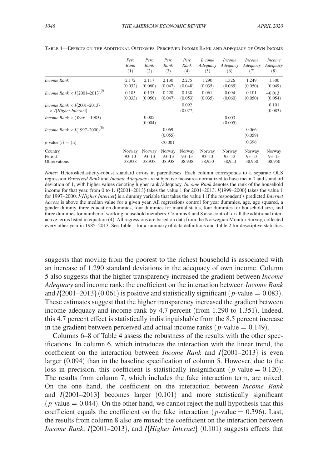|                                                                  | Perc      | Perc             | Perc             | Perc             | <i>Income</i> | <i>Income</i>       | <i>Income</i>    | <i>Income</i>    |
|------------------------------------------------------------------|-----------|------------------|------------------|------------------|---------------|---------------------|------------------|------------------|
|                                                                  | Rank      | Rank             | Rank             | Rank             | Adequacy      | Adequacy            | Adequacy         | Adequacy         |
|                                                                  | (1)       | (2)              | (3)              | (4)              | (5)           | (6)                 | (7)              | (8)              |
| Income Rank                                                      | 2.172     | 2.117            | 2.130            | 2.275            | 1.290         | 1.326               | 1.249            | 1.300            |
|                                                                  | (0.032)   | (0.060)          | (0.047)          | (0.048)          | (0.035)       | (0.065)             | (0.050)          | (0.049)          |
| <i>Income Rank</i> $\times$ <i>I</i> {2001-2013} <sup>(1)</sup>  | 0.185     | 0.135            | 0.228            | 0.138            | 0.061         | 0.094               | 0.101            | $-0.013$         |
|                                                                  | (0.033)   | (0.056)          | (0.047)          | (0.053)          | (0.035)       | (0.060)             | (0.050)          | (0.054)          |
| Income Rank $\times$ I{2001-2013}<br>$\times$ I{Higher Internet} |           |                  |                  | 0.092<br>(0.077) |               |                     |                  | 0.101<br>(0.083) |
| <i>Income Rank</i> $\times$ ( <i>Year</i> $-$ 1985)              |           | 0.005<br>(0.004) |                  |                  |               | $-0.003$<br>(0.005) |                  |                  |
| Income Rank $\times$ I{1997-2000} <sup>(ii)</sup>                |           |                  | 0.069<br>(0.055) |                  |               |                     | 0.066<br>(0.059) |                  |
| $p$ -value (i) = (ii)                                            |           |                  | < 0.001          |                  |               |                     | 0.396            |                  |
| Country                                                          | Norway    | Norway           | Norway           | Norway           | Norway        | Norway              | Norway           | Norway           |
| Period                                                           | $93 - 13$ | $93 - 13$        | $93 - 13$        | $93 - 13$        | $93 - 13$     | $93 - 13$           | $93 - 13$        | $93 - 13$        |
| <b>Observations</b>                                              | 38,938    | 38,938           | 38,938           | 38,938           | 38,950        | 38,950              | 38,950           | 38,950           |

Table 4—Effects on the Additional Outcomes: Perceived Income Rank and Adequacy of Own Income

*Notes:* Heteroskedasticity-robust standard errors in parentheses. Each column corresponds to a separate OLS regression *Perceived Rank* and *Income Adequacy* are subjective measures normalized to have mean 0 and standard deviation of 1, with higher values denoting higher rank/adequacy. *Income Rank* denotes the rank of the household income for that year, from 0 to 1. *I*{2001–2013} takes the value 1 for 2001–2013. *I*{1999–2000} takes the value 1 for 1997–2000. *I*{*Higher Internet*} is a dummy variable that takes the value 1 if the respondent's predicted *Internet Access* is above the median value for a given year. All regressions control for year dummies, age, age squared, a gender dummy, three education dummies, four dummies for marital status, four dummies for household size, and three dummies for number of working household members. Columns 4 and 8 also control for all the additional interactive terms listed in equation (4). All regressions are based on data from the Norwegian Monitor Survey, collected every other year in 1985–2013. See Table 1 for a summary of data definitions and Table 2 for descriptive statistics.

 suggests that moving from the poorest to the richest household is associated with an increase of 1.290 standard deviations in the adequacy of own income. Column 5 also suggests that the higher transparency increased the gradient between *Income Adequacy* and income rank: the coefficient on the interaction between *Income Rank* and  $I$ {2001–2013} (0.061) is positive and statistically significant (*p*-value = 0.083). These estimates suggest that the higher transparency increased the gradient between income adequacy and income rank by 4.7 percent (from 1.290 to 1.351). Indeed, this 4.7 percent effect is statistically indistinguishable from the 8.5 percent increase in the gradient between perceived and actual income ranks ( $p$ -value  $= 0.149$ ).

Columns 6–8 of Table 4 assess the robustness of the results with the other specifications. In column 6, which introduces the interaction with the linear trend, the coefficient on the interaction between *Income Rank* and *I*{2001*–*2013} is even larger (0.094) than in the baseline specification of column 5. However, due to the loss in precision, this coefficient is statistically insignificant ( $p$ -value  $= 0.120$ ). The results from column 7, which includes the fake interaction term, are mixed. On the one hand, the coefficient on the interaction between *Income Rank* and *I*{2001*–*2013} becomes larger (0.101) and more statistically significant ( $p$ -value  $= 0.044$ ). On the other hand, we cannot reject the null hypothesis that this coefficient equals the coefficient on the fake interaction ( $p$ -value = 0.396). Last, the results from column 8 also are mixed: the coefficient on the interaction between *Income Rank*, *I*{2001*–*2013}, and *I*{*Higher Internet*} (0.101) suggests effects that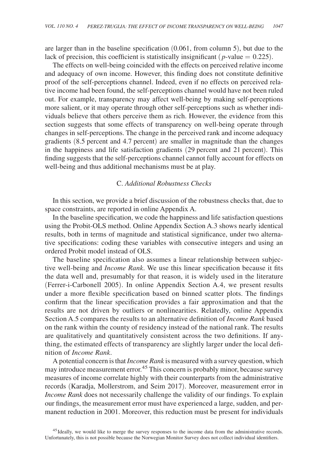are larger than in the baseline specification (0.061, from column 5), but due to the lack of precision, this coefficient is statistically insignificant ( $p$ -value = 0.225).

The effects on well-being coincided with the effects on perceived relative income and adequacy of own income. However, this finding does not constitute definitive proof of the self-perceptions channel. Indeed, even if no effects on perceived relative income had been found, the self-perceptions channel would have not been ruled out. For example, transparency may affect well-being by making self-perceptions more salient, or it may operate through other self-perceptions such as whether individuals believe that others perceive them as rich. However, the evidence from this section suggests that some effects of transparency on well-being operate through changes in self-perceptions. The change in the perceived rank and income adequacy gradients (8.5 percent and 4.7 percent) are smaller in magnitude than the changes in the happiness and life satisfaction gradients (29 percent and 21 percent). This finding suggests that the self-perceptions channel cannot fully account for effects on well-being and thus additional mechanisms must be at play.

## C. *Additional Robustness Checks*

In this section, we provide a brief discussion of the robustness checks that, due to space constraints, are reported in online Appendix A.

In the baseline specification, we code the happiness and life satisfaction questions using the Probit-OLS method. Online Appendix Section A.3 shows nearly identical results, both in terms of magnitude and statistical significance, under two alternative specifications: coding these variables with consecutive integers and using an ordered Probit model instead of OLS.

The baseline specification also assumes a linear relationship between subjective well-being and *Income Rank*. We use this linear specification because it fits the data well and, presumably for that reason, it is widely used in the literature ( Ferrer-i-Carbonell 2005). In online Appendix Section A.4, we present results under a more flexible specification based on binned scatter plots. The findings confirm that the linear specification provides a fair approximation and that the results are not driven by outliers or nonlinearities. Relatedly, online Appendix Section A.5 compares the results to an alternative definition of *Income Rank* based on the rank within the county of residency instead of the national rank. The results are qualitatively and quantitatively consistent across the two definitions. If anything, the estimated effects of transparency are slightly larger under the local definition of *Income Rank*.

A potential concern is that *Income Rank* is measured with a survey question, which may introduce measurement error.<sup>45</sup> This concern is probably minor, because survey measures of income correlate highly with their counterparts from the administrative records (Karadja, Mollerstrom, and Seim 2017). Moreover, measurement error in *Income Rank* does not necessarily challenge the validity of our findings. To explain our findings, the measurement error must have experienced a large, sudden, and permanent reduction in 2001. Moreover, this reduction must be present for individuals

<sup>45</sup>Ideally, we would like to merge the survey responses to the income data from the administrative records. Unfortunately, this is not possible because the Norwegian Monitor Survey does not collect individual identifiers.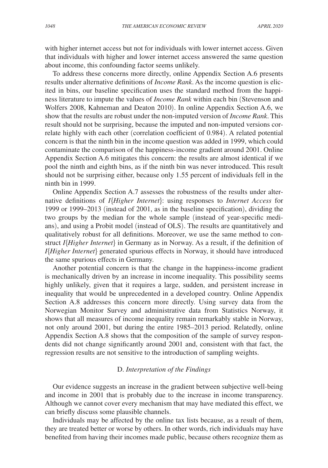with higher internet access but not for individuals with lower internet access. Given that individuals with higher and lower internet access answered the same question about income, this confounding factor seems unlikely.

To address these concerns more directly, online Appendix Section A.6 presents results under alternative definitions of *Income Rank*. As the income question is elicited in bins, our baseline specification uses the standard method from the happiness literature to impute the values of *Income Rank* within each bin (Stevenson and Wolfers 2008, Kahneman and Deaton 2010). In online Appendix Section A.6, we show that the results are robust under the non-imputed version of *Income Rank*. This result should not be surprising, because the imputed and non-imputed versions correlate highly with each other (correlation coefficient of 0.984). A related potential concern is that the ninth bin in the income question was added in 1999, which could contaminate the comparison of the happiness-income gradient around 2001. Online Appendix Section A.6 mitigates this concern: the results are almost identical if we pool the ninth and eighth bins, as if the ninth bin was never introduced. This result should not be surprising either, because only 1.55 percent of individuals fell in the ninth bin in 1999.

Online Appendix Section A.7 assesses the robustness of the results under alternative definitions of *I*{*Higher Internet*}: using responses to *Internet Access* for 1999 or 1999–2013 (instead of 2001, as in the baseline specification), dividing the two groups by the median for the whole sample (instead of year-specific medians), and using a Probit model (instead of OLS). The results are quantitatively and qualitatively robust for all definitions. Moreover, we use the same method to construct *I*{*Higher Internet*} in Germany as in Norway. As a result, if the definition of *I*{*Higher Internet*} generated spurious effects in Norway, it should have introduced the same spurious effects in Germany.

Another potential concern is that the change in the happiness-income gradient is mechanically driven by an increase in income inequality. This possibility seems highly unlikely, given that it requires a large, sudden, and persistent increase in inequality that would be unprecedented in a developed country. Online Appendix Section A.8 addresses this concern more directly. Using survey data from the Norwegian Monitor Survey and administrative data from Statistics Norway, it shows that all measures of income inequality remain remarkably stable in Norway, not only around 2001, but during the entire 1985–2013 period. Relatedly, online Appendix Section A.8 shows that the composition of the sample of survey respondents did not change significantly around 2001 and, consistent with that fact, the regression results are not sensitive to the introduction of sampling weights.

## D. *Interpretation of the Findings*

Our evidence suggests an increase in the gradient between subjective well-being and income in 2001 that is probably due to the increase in income transparency. Although we cannot cover every mechanism that may have mediated this effect, we can briefly discuss some plausible channels.

Individuals may be affected by the online tax lists because, as a result of them, they are treated better or worse by others. In other words, rich individuals may have benefited from having their incomes made public, because others recognize them as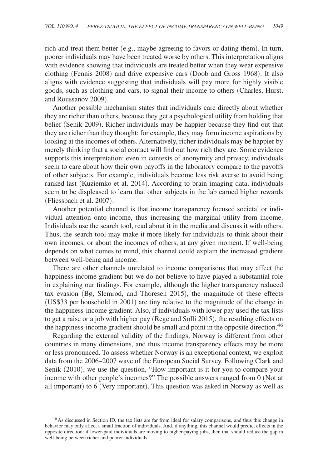rich and treat them better (e.g., maybe agreeing to favors or dating them). In turn, poorer individuals may have been treated worse by others. This interpretation aligns with evidence showing that individuals are treated better when they wear expensive clothing (Fennis 2008) and drive expensive cars (Doob and Gross 1968). It also aligns with evidence suggesting that individuals will pay more for highly visible goods, such as clothing and cars, to signal their income to others (Charles, Hurst, and Roussanov 2009).

Another possible mechanism states that individuals care directly about whether they are richer than others, because they get a psychological utility from holding that belief (Senik 2009). Richer individuals may be happier because they find out that they are richer than they thought: for example, they may form income aspirations by looking at the incomes of others. Alternatively, richer individuals may be happier by merely thinking that a social contact will find out how rich they are. Some evidence supports this interpretation: even in contexts of anonymity and privacy, individuals seem to care about how their own payoffs in the laboratory compare to the payoffs of other subjects. For example, individuals become less risk averse to avoid being ranked last (Kuziemko et al. 2014). According to brain imaging data, individuals seem to be displeased to learn that other subjects in the lab earned higher rewards (Fliessbach et al. 2007).

Another potential channel is that income transparency focused societal or individual attention onto income, thus increasing the marginal utility from income. Individuals use the search tool, read about it in the media and discuss it with others. Thus, the search tool may make it more likely for individuals to think about their own incomes, or about the incomes of others, at any given moment. If well-being depends on what comes to mind, this channel could explain the increased gradient between well-being and income.

There are other channels unrelated to income comparisons that may affect the happiness-income gradient but we do not believe to have played a substantial role in explaining our findings. For example, although the higher transparency reduced tax evasion (Bø, Slemrod, and Thoresen 2015), the magnitude of these effects (US\$33 per household in 2001) are tiny relative to the magnitude of the change in the happiness-income gradient. Also, if individuals with lower pay used the tax lists to get a raise or a job with higher pay (Rege and Solli 2015), the resulting effects on the happiness-income gradient should be small and point in the opposite direction.<sup>46</sup>

Regarding the external validity of the findings, Norway is different from other countries in many dimensions, and thus income transparency effects may be more or less pronounced. To assess whether Norway is an exceptional context, we exploit data from the 2006–2007 wave of the European Social Survey. Following Clark and Senik (2010), we use the question, "How important is it for you to compare your income with other people's incomes?" The possible answers ranged from 0 (Not at all important) to 6 (Very important). This question was asked in Norway as well as

<sup>&</sup>lt;sup>46</sup>As discussed in Section ID, the tax lists are far from ideal for salary comparisons, and thus this change in behavior may only affect a small fraction of individuals. And, if anything, this channel would predict effects in the opposite direction: if lower-paid individuals are moving to higher-paying jobs, then that should reduce the gap in well-being between richer and poorer individuals.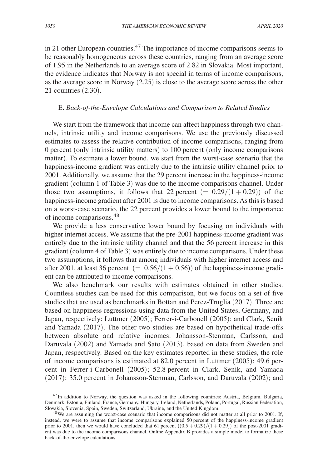in 21 other European countries.<sup>47</sup> The importance of income comparisons seems to be reasonably homogeneous across these countries, ranging from an average score of 1.95 in the Netherlands to an average score of 2.82 in Slovakia. Most important, the evidence indicates that Norway is not special in terms of income comparisons, as the average score in Norway (2.25) is close to the average score across the other 21 countries (2.30).

#### E. *Back-of-the-Envelope Calculations and Comparison to Related Studies*

We start from the framework that income can affect happiness through two channels, intrinsic utility and income comparisons. We use the previously discussed estimates to assess the relative contribution of income comparisons, ranging from 0 percent (only intrinsic utility matters) to 100 percent (only income comparisons matter). To estimate a lower bound, we start from the worst-case scenario that the happiness-income gradient was entirely due to the intrinsic utility channel prior to 2001. Additionally, we assume that the 29 percent increase in the happiness-income gradient (column 1 of Table 3) was due to the income comparisons channel. Under those two assumptions, it follows that 22 percent  $(= 0.29/(1 + 0.29))$  of the happiness-income gradient after 2001 is due to income comparisons. As this is based on a worst-case scenario, the 22 percent provides a lower bound to the importance of income comparisons.<sup>48</sup>

We provide a less conservative lower bound by focusing on individuals with higher internet access. We assume that the pre-2001 happiness-income gradient was entirely due to the intrinsic utility channel and that the 56 percent increase in this gradient (column 4 of Table 3) was entirely due to income comparisons. Under these two assumptions, it follows that among individuals with higher internet access and after 2001, at least 36 percent  $(= 0.56/(1 + 0.56))$  of the happiness-income gradient can be attributed to income comparisons.

We also benchmark our results with estimates obtained in other studies. Countless studies can be used for this comparison, but we focus on a set of five studies that are used as benchmarks in Bottan and Perez-Truglia (2017). Three are based on happiness regressions using data from the United States, Germany, and Japan, respectively: Luttmer (2005); Ferrer-i-Carbonell (2005); and Clark, Senik and Yamada (2017). The other two studies are based on hypothetical trade-offs between absolute and relative incomes: Johansson-Stenman, Carlsson, and Daruvala (2002) and Yamada and Sato (2013), based on data from Sweden and Japan, respectively. Based on the key estimates reported in these studies, the role of income comparisons is estimated at 82.0 percent in Luttmer (2005); 49.6 percent in Ferrer-i-Carbonell (2005); 52.8 percent in Clark, Senik, and Yamada (2017); 35.0 percent in Johansson-Stenman, Carlsson, and Daruvala (2002); and

<sup>&</sup>lt;sup>47</sup>In addition to Norway, the question was asked in the following countries: Austria, Belgium, Bulgaria, Denmark, Estonia, Finland, France, Germany, Hungary, Ireland, Netherlands, Poland, Portugal, Russian Federation, Slovakia, Slovenia, Spain, Sweden, Switzerland, Ukraine, and the United Kingdom.

<sup>&</sup>lt;sup>48</sup>We are assuming the worst-case scenario that income comparisons did not matter at all prior to 2001. If, instead, we were to assume that income comparisons explained 50 percent of the happiness-income gradient prior to 2001, then we would have concluded that 61 percent  $((0.5 + 0.29)/(1 + 0.29))$  of the post-2001 gradient was due to the income comparisons channel. Online Appendix B provides a simple model to formalize these back-of-the-envelope calculations.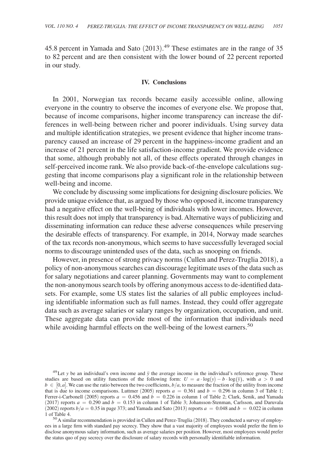45.8 percent in Yamada and Sato (2013). <sup>49</sup> These estimates are in the range of 35 to 82 percent and are then consistent with the lower bound of 22 percent reported in our study.

#### **IV. Conclusions**

In 2001, Norwegian tax records became easily accessible online, allowing everyone in the country to observe the incomes of everyone else. We propose that, because of income comparisons, higher income transparency can increase the differences in well-being between richer and poorer individuals. Using survey data and multiple identification strategies, we present evidence that higher income transparency caused an increase of 29 percent in the happiness-income gradient and an increase of 21 percent in the life satisfaction-income gradient. We provide evidence that some, although probably not all, of these effects operated through changes in self-perceived income rank. We also provide back-of-the-envelope calculations suggesting that income comparisons play a significant role in the relationship between well-being and income.

We conclude by discussing some implications for designing disclosure policies. We provide unique evidence that, as argued by those who opposed it, income transparency had a negative effect on the well-being of individuals with lower incomes. However, this result does not imply that transparency is bad. Alternative ways of publicizing and disseminating information can reduce these adverse consequences while preserving the desirable effects of transparency. For example, in 2014, Norway made searches of the tax records non-anonymous, which seems to have successfully leveraged social norms to discourage unintended uses of the data, such as snooping on friends.

However, in presence of strong privacy norms (Cullen and Perez-Truglia 2018), a policy of non-anonymous searches can discourage legitimate uses of the data such as for salary negotiations and career planning. Governments may want to complement the non-anonymous search tools by offering anonymous access to de-identified datasets. For example, some US states list the salaries of all public employees including identifiable information such as full names. Instead, they could offer aggregate data such as average salaries or salary ranges by organization, occupation, and unit. These aggregate data can provide most of the information that individuals need while avoiding harmful effects on the well-being of the lowest earners.<sup>50</sup>

<sup>&</sup>lt;sup>49</sup> Let y be an individual's own income and  $\bar{y}$  the average income in the individual's reference group. These studies are based on utility functions of the following form:  $U = a \cdot \log(y) - b \cdot \log(\bar{y})$ , with  $a > 0$  and  $b \in [0, a]$ . We can use the ratio between the two coefficients,  $b/a$ , to measure the fraction of the utility from income that is due to income comparisons. Luttmer (2005) reports  $a = 0.361$  and  $b = 0.296$  in column 3 of Table 1; Ferrer-i-Carbonell (2005) reports  $a = 0.456$  and  $b = 0.226$  in column 1 of Table 2; Clark, Senik, and Yamada (2017) reports  $a = 0.290$  and  $b = 0.153$  in column 1 of Table 3; Johansson-Stenman, Carlsson, and Daruvala  $(2002)$  reports  $b/a = 0.35$  in page 373; and Yamada and Sato (2013) reports  $a = 0.048$  and  $b = 0.022$  in column 1 of Table 4.

<sup>50</sup>A similar recommendation is provided in Cullen and Perez-Truglia (2018). They conducted a survey of employees in a large firm with standard pay secrecy. They show that a vast majority of employees would prefer the firm to disclose anonymous salary information, such as average salaries per position. However, most employees would prefer the status quo of pay secrecy over the disclosure of salary records with personally identifiable information.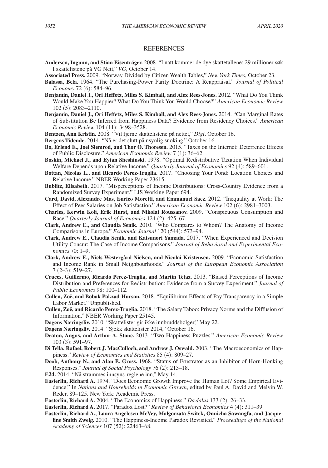#### REFERENCES

- **Andersen, Ingunn, and Stian Eisenträger.** 2008. "I natt kommer de dye skattetallene: 29 millioner søk I skattelistene på VG Nett," *VG*, October 14.
- **Associated Press.** 2009. "Norway Divided by Citizen Wealth Tables," *New York Times*, October 23.
- **Balassa, Bela.** 1964. "The Purchasing-Power Parity Doctrine: A Reappraisal." *Journal of Political Economy* 72 (6): 584–96.
- **Benjamin, Daniel J., Ori Heffetz, Miles S. Kimball, and Alex Rees-Jones.** 2012. "What Do You Think Would Make You Happier? What Do You Think You Would Choose?" *American Economic Review*  102 (5): 2083–2110.
- **Benjamin, Daniel J., Ori Heffetz, Miles S. Kimball, and Alex Rees-Jones.** 2014. "Can Marginal Rates of Substitution Be Inferred from Happiness Data? Evidence from Residency Choices." *American Economic Review* 104 (11): 3498–3528.
- **Bentzen, Ann Kristin.** 2008. "Vil fjerne skattelistene på nettet," *Digi*, October 16.
- **Bergens Tidende.** 2014. "Nå er det slutt på usynlig snoking," October 16.
- **Bø, Erlend E., Joel Slemrod, and Thor O. Thoresen.** 2015. "Taxes on the Internet: Deterrence Effects of Public Disclosure." *American Economic Review* 7 (1): 36–62.
- **Boskin, Michael J., and Eytan Sheshinski.** 1978. "Optimal Redistributive Taxation When Individual Welfare Depends upon Relative Income." *Quarterly Journal of Economics* 92 (4): 589–601.
- **Bottan, Nicolas L., and Ricardo Perez-Truglia.** 2017. "Choosing Your Pond: Location Choices and Relative Income." NBER Working Paper 23615.
- **Bublitz, Elisabeth.** 2017. "Misperceptions of Income Distributions: Cross-Country Evidence from a Randomized Survey Experiment." LIS Working Paper 694.
- **Card, David, Alexandre Mas, Enrico Moretti, and Emmanuel Saez.** 2012. "Inequality at Work: The Effect of Peer Salaries on Job Satisfaction." *American Economic Review* 102 (6): 2981–3003.
- **Charles, Kerwin Kofi, Erik Hurst, and Nikolai Roussanov.** 2009. "Conspicuous Consumption and Race." *Quarterly Journal of Economics* 124 (2): 425–67.
- **Clark, Andrew E., and Claudia Senik.** 2010. "Who Compares to Whom? The Anatomy of Income Comparisons in Europe." *Economic Journal* 120 (544): 573–94.
- **Clark, Andrew E., Claudia Senik, and Katsunori Yamada.** 2017. "When Experienced and Decision Utility Concur: The Case of Income Comparisons." *Journal of Behavioral and Experimental Economics* 70: 1–9.
- **Clark, Andrew E., Niels Westergård-Nielsen, and Nicolai Kristensen.** 2009. "Economic Satisfaction and Income Rank in Small Neighbourhoods." *Journal of the European Economic Association* 7 (2–3): 519–27.
- **Cruces, Guillermo, Ricardo Perez-Truglia, and Martin Tetaz.** 2013. "Biased Perceptions of Income Distribution and Preferences for Redistribution: Evidence from a Survey Experiment." *Journal of Public Economics* 98: 100–112.
- **Cullen, Zoë, and Bobak Pakzad-Hurson.** 2018. "Equilibrium Effects of Pay Transparency in a Simple Labor Market." Unpublished.
- **Cullen, Zoë, and Ricardo Perez-Truglia.** 2018. "The Salary Taboo: Privacy Norms and the Diffusion of Information." NBER Working Paper 25145.
- **Dagens Næringsliv.** 2010. "Skattelister gir ikke innbruddsbølger," May 22.
- **Dagens Næringsliv.** 2014. "Sjekk skattelister 2014," October 16.
- **Deaton, Angus, and Arthur A. Stone.** 2013. "Two Happiness Puzzles." *American Economic Review*  103 (3): 591–97.
- **Di Tella, Rafael, Robert J. MacCulloch, and Andrew J. Oswald.** 2003. "The Macroeconomics of Happiness." *Review of Economics and Statistics* 85 (4): 809–27.
- **Doob, Anthony N., and Alan E. Gross.** 1968. "Status of Frustrator as an Inhibitor of Horn-Honking Responses." *Journal of Social Psychology* 76 (2): 213–18.
- **E24.** 2014. "Nå strammes innsyns-reglene inn," May 14.
- **Easterlin, Richard A.** 1974. "Does Economic Growth Improve the Human Lot? Some Empirical Evidence." In *Nations and Households in Economic Growth*, edited by Paul A. David and Melvin W. Reder, 89–125. New York: Academic Press.
- **Easterlin, Richard A.** 2004. "The Economics of Happiness." *Dædalus* 133 (2): 26–33.
- **Easterlin, Richard A.** 2017. "Paradox Lost?" *Review of Behavioral Economics* 4 (4): 311–39.
- **Easterlin, Richard A., Laura Angelescu McVey, Malgorzata Switek, Onnicha Sawangfa, and Jacqueline Smith Zweig.** 2010. "The Happiness-Income Paradox Revisited." *Proceedings of the National Academy of Sciences* 107 (52): 22463–68.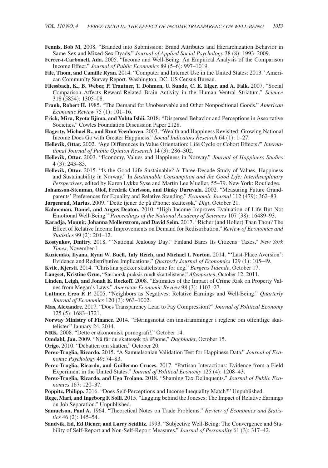- **Fennis, Bob M.** 2008. "Branded into Submission: Brand Attributes and Hierarchization Behavior in Same-Sex and Mixed-Sex Dyads." *Journal of Applied Social Psychology* 38 (8): 1993–2009.
- **Ferrer-i-Carbonell, Ada.** 2005. "Income and Well-Being: An Empirical Analysis of the Comparison Income Effect." *Journal of Public Economics* 89 (5–6): 997–1019.
- **File, Thom, and Camille Ryan.** 2014. "Computer and Internet Use in the United States: 2013." American Community Survey Report. Washington, DC: US Census Bureau.
- **Fliessbach, K., B. Weber, P. Trautner, T. Dohmen, U. Sunde, C. E. Elger, and A. Falk.** 2007. "Social Comparison Affects Reward-Related Brain Activity in the Human Ventral Striatum." *Science* 318 (5854): 1305–08.
- **Frank, Robert H.** 1985. "The Demand for Unobservable and Other Nonpositional Goods." *American Economic Review* 75 (1): 101–16.
- **Frick, Mira, Ryota Iijima, and Yuhta Ishii.** 2018. "Dispersed Behavior and Perceptions in Assortative Societies." Cowles Foundation Discussion Paper 2128.
- **Hagerty, Michael R., and Ruut Veenhoven.** 2003. "Wealth and Happiness Revisited: Growing National Income Does Go with Greater Happiness." *Social Indicators Research* 64 (1): 1–27.
- **Hellevik, Ottar.** 2002. "Age Differences in Value Orientation: Life Cycle or Cohort Effects?" *International Journal of Public Opinion Research* 14 (3): 286–302.
- **Hellevik, Ottar.** 2003. "Economy, Values and Happiness in Norway." *Journal of Happiness Studies* 4 (3): 243–83.
- **Hellevik, Ottar.** 2015. "Is the Good Life Sustainable? A Three-Decade Study of Values, Happiness and Sustainability in Norway." In *Sustainable Consumption and the Good Life: Interdisciplinary Perspectives*, edited by Karen Lykke Syse and Martin Lee Mueller, 55–79. New York: Routledge.
- **Johansson-Stenman, Olof, Fredrik Carlsson, and Dinky Daruvala.** 2002. "Measuring Future Grandparents' Preferences for Equality and Relative Standing." *Economic Journal* 112 (479): 362–83.
- **Jørgenrud, Marius.** 2009. "Dette tjener de på iPhone: skattesøk," *Digi*, October 21.
- **Kahneman, Daniel, and Angus Deaton.** 2010. "High Income Improves Evaluation of Life But Not Emotional Well-Being." *Proceedings of the National Academy of Sciences* 107 (38): 16489–93.
- **Karadja, Mounir, Johanna Mollerstrom, and David Seim.** 2017. "Richer (and Holier) Than Thou? The Effect of Relative Income Improvements on Demand for Redistribution." *Review of Economics and Statistics* 99 (2): 201–12.
- **Kostyukov, Dmitry.** 2018. "'National Jealousy Day!' Finland Bares Its Citizens' Taxes," *New York Times*, November 1.
- **Kuziemko, Ilyana, Ryan W. Buell, Taly Reich, and Michael I. Norton.** 2014. "'Last-Place Aversion': Evidence and Redistributive Implications." *Quarterly Journal of Economics* 129 (1): 105–49.
- **Kvile, Kjersti.** 2014. "Christina sjekker skattelistene for deg," *Bergens Tidende*, October 17.
- **Langset, Kristine Grue,** "Særnorsk praksis rundt skattelistene," *Aftenposten*, October 12, 2011.
- **Linden, Leigh, and Jonah E. Rockoff.** 2008. "Estimates of the Impact of Crime Risk on Property Values from Megan's Laws." *American Economic Review* 98 (3): 1103–27.
- **Luttmer, Erzo F. P.** 2005. "Neighbors as Negatives: Relative Earnings and Well-Being." *Quarterly Journal of Economics* 120 (3): 963–1002.
- **Mas, Alexandre.** 2017. "Does Transparency Lead to Pay Compression?" *Journal of Political Economy*  125 (5): 1683–1721.
- **Norway Ministry of Finance.** 2014. "Høringsnotat om innstramminger i reglene om offentlige skattelister." January 24, 2014.
- **NRK.** 2008. "Dette er økonomisk pornografi!," October 14.
- **Omdahl, Jan.** 2009. "Nå får du skattesøk på iPhone," *Dagbladet*, October 15.
- **Origo.** 2010. "Debatten om skatten," October 20.
- **Perez-Truglia, Ricardo.** 2015. "A Samuelsonian Validation Test for Happiness Data." *Journal of Economic Psychology* 49: 74–83.
- **Perez-Truglia, Ricardo, and Guillermo Cruces.** 2017. "Partisan Interactions: Evidence from a Field Experiment in the United States." *Journal of Political Economy* 125 (4): 1208–43.
- **Perez-Truglia, Ricardo, and Ugo Troiano.** 2018. "Shaming Tax Delinquents." *Journal of Public Economics* 167: 120–37.
- **Poppitz, Philipp.** 2016. "Does Self-Perceptions and Income Inequality Match?" Unpublished.
- **Rege, Mari, and Ingeborg F. Solli.** 2015. "Lagging behind the Joneses: The Impact of Relative Earnings on Job Separation." Unpublished.
- **Samuelson, Paul A.** 1964. "Theoretical Notes on Trade Problems." *Review of Economics and Statistics* 46 (2): 145–54.
- **Sandvik, Ed, Ed Diener, and Larry Seidlitz.** 1993. "Subjective Well-Being: The Convergence and Stability of Self-Report and Non-Self-Report Measures." *Journal of Personality* 61 (3): 317–42.